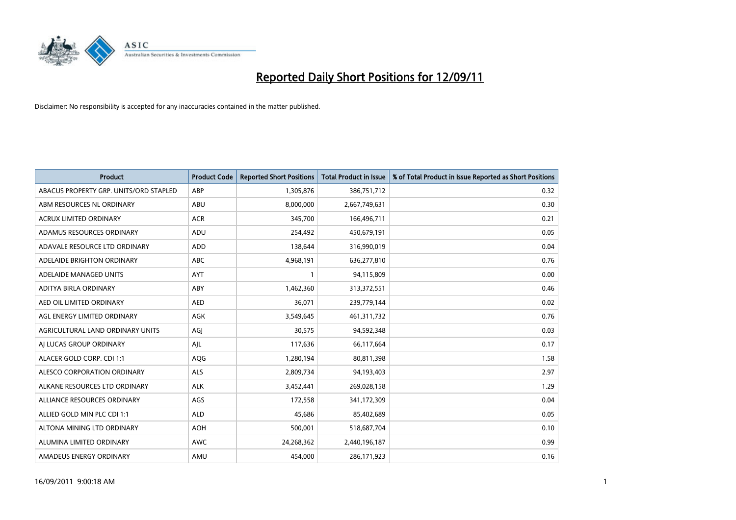

| <b>Product</b>                         | <b>Product Code</b> | <b>Reported Short Positions</b> | <b>Total Product in Issue</b> | % of Total Product in Issue Reported as Short Positions |
|----------------------------------------|---------------------|---------------------------------|-------------------------------|---------------------------------------------------------|
| ABACUS PROPERTY GRP. UNITS/ORD STAPLED | ABP                 | 1,305,876                       | 386,751,712                   | 0.32                                                    |
| ABM RESOURCES NL ORDINARY              | ABU                 | 8,000,000                       | 2,667,749,631                 | 0.30                                                    |
| <b>ACRUX LIMITED ORDINARY</b>          | <b>ACR</b>          | 345,700                         | 166,496,711                   | 0.21                                                    |
| ADAMUS RESOURCES ORDINARY              | ADU                 | 254,492                         | 450,679,191                   | 0.05                                                    |
| ADAVALE RESOURCE LTD ORDINARY          | ADD                 | 138,644                         | 316,990,019                   | 0.04                                                    |
| ADELAIDE BRIGHTON ORDINARY             | <b>ABC</b>          | 4,968,191                       | 636,277,810                   | 0.76                                                    |
| ADELAIDE MANAGED UNITS                 | <b>AYT</b>          |                                 | 94,115,809                    | 0.00                                                    |
| ADITYA BIRLA ORDINARY                  | ABY                 | 1,462,360                       | 313,372,551                   | 0.46                                                    |
| AED OIL LIMITED ORDINARY               | <b>AED</b>          | 36,071                          | 239,779,144                   | 0.02                                                    |
| AGL ENERGY LIMITED ORDINARY            | <b>AGK</b>          | 3,549,645                       | 461,311,732                   | 0.76                                                    |
| AGRICULTURAL LAND ORDINARY UNITS       | AGJ                 | 30,575                          | 94,592,348                    | 0.03                                                    |
| AI LUCAS GROUP ORDINARY                | AJL                 | 117,636                         | 66,117,664                    | 0.17                                                    |
| ALACER GOLD CORP. CDI 1:1              | AQG                 | 1,280,194                       | 80,811,398                    | 1.58                                                    |
| ALESCO CORPORATION ORDINARY            | ALS                 | 2,809,734                       | 94,193,403                    | 2.97                                                    |
| ALKANE RESOURCES LTD ORDINARY          | <b>ALK</b>          | 3,452,441                       | 269,028,158                   | 1.29                                                    |
| ALLIANCE RESOURCES ORDINARY            | AGS                 | 172,558                         | 341,172,309                   | 0.04                                                    |
| ALLIED GOLD MIN PLC CDI 1:1            | <b>ALD</b>          | 45,686                          | 85,402,689                    | 0.05                                                    |
| ALTONA MINING LTD ORDINARY             | <b>AOH</b>          | 500,001                         | 518,687,704                   | 0.10                                                    |
| ALUMINA LIMITED ORDINARY               | <b>AWC</b>          | 24,268,362                      | 2,440,196,187                 | 0.99                                                    |
| AMADEUS ENERGY ORDINARY                | AMU                 | 454.000                         | 286,171,923                   | 0.16                                                    |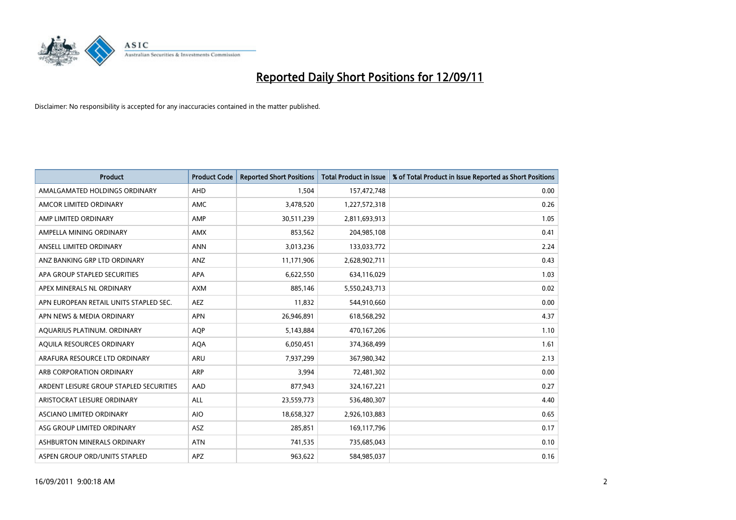

| <b>Product</b>                          | <b>Product Code</b> | <b>Reported Short Positions</b> | <b>Total Product in Issue</b> | % of Total Product in Issue Reported as Short Positions |
|-----------------------------------------|---------------------|---------------------------------|-------------------------------|---------------------------------------------------------|
| AMALGAMATED HOLDINGS ORDINARY           | <b>AHD</b>          | 1,504                           | 157,472,748                   | 0.00                                                    |
| AMCOR LIMITED ORDINARY                  | <b>AMC</b>          | 3,478,520                       | 1,227,572,318                 | 0.26                                                    |
| AMP LIMITED ORDINARY                    | AMP                 | 30,511,239                      | 2,811,693,913                 | 1.05                                                    |
| AMPELLA MINING ORDINARY                 | AMX                 | 853,562                         | 204,985,108                   | 0.41                                                    |
| ANSELL LIMITED ORDINARY                 | <b>ANN</b>          | 3,013,236                       | 133,033,772                   | 2.24                                                    |
| ANZ BANKING GRP LTD ORDINARY            | ANZ                 | 11,171,906                      | 2,628,902,711                 | 0.43                                                    |
| APA GROUP STAPLED SECURITIES            | <b>APA</b>          | 6,622,550                       | 634,116,029                   | 1.03                                                    |
| APEX MINERALS NL ORDINARY               | <b>AXM</b>          | 885,146                         | 5,550,243,713                 | 0.02                                                    |
| APN EUROPEAN RETAIL UNITS STAPLED SEC.  | <b>AEZ</b>          | 11,832                          | 544,910,660                   | 0.00                                                    |
| APN NEWS & MEDIA ORDINARY               | <b>APN</b>          | 26,946,891                      | 618,568,292                   | 4.37                                                    |
| AQUARIUS PLATINUM. ORDINARY             | <b>AOP</b>          | 5,143,884                       | 470,167,206                   | 1.10                                                    |
| AQUILA RESOURCES ORDINARY               | <b>AQA</b>          | 6,050,451                       | 374,368,499                   | 1.61                                                    |
| ARAFURA RESOURCE LTD ORDINARY           | ARU                 | 7,937,299                       | 367,980,342                   | 2.13                                                    |
| ARB CORPORATION ORDINARY                | <b>ARP</b>          | 3,994                           | 72,481,302                    | 0.00                                                    |
| ARDENT LEISURE GROUP STAPLED SECURITIES | AAD                 | 877,943                         | 324, 167, 221                 | 0.27                                                    |
| ARISTOCRAT LEISURE ORDINARY             | ALL                 | 23,559,773                      | 536,480,307                   | 4.40                                                    |
| ASCIANO LIMITED ORDINARY                | <b>AIO</b>          | 18,658,327                      | 2,926,103,883                 | 0.65                                                    |
| ASG GROUP LIMITED ORDINARY              | <b>ASZ</b>          | 285,851                         | 169,117,796                   | 0.17                                                    |
| ASHBURTON MINERALS ORDINARY             | <b>ATN</b>          | 741,535                         | 735,685,043                   | 0.10                                                    |
| ASPEN GROUP ORD/UNITS STAPLED           | APZ                 | 963,622                         | 584,985,037                   | 0.16                                                    |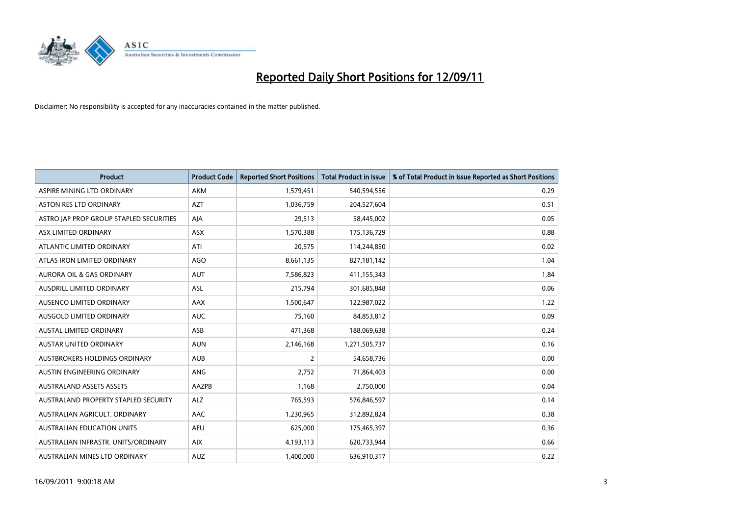

| <b>Product</b>                          | <b>Product Code</b> | <b>Reported Short Positions</b> | <b>Total Product in Issue</b> | % of Total Product in Issue Reported as Short Positions |
|-----------------------------------------|---------------------|---------------------------------|-------------------------------|---------------------------------------------------------|
| ASPIRE MINING LTD ORDINARY              | <b>AKM</b>          | 1,579,451                       | 540,594,556                   | 0.29                                                    |
| ASTON RES LTD ORDINARY                  | <b>AZT</b>          | 1,036,759                       | 204,527,604                   | 0.51                                                    |
| ASTRO JAP PROP GROUP STAPLED SECURITIES | AJA                 | 29,513                          | 58,445,002                    | 0.05                                                    |
| ASX LIMITED ORDINARY                    | ASX                 | 1,570,388                       | 175,136,729                   | 0.88                                                    |
| ATLANTIC LIMITED ORDINARY               | ATI                 | 20,575                          | 114,244,850                   | 0.02                                                    |
| ATLAS IRON LIMITED ORDINARY             | <b>AGO</b>          | 8,661,135                       | 827,181,142                   | 1.04                                                    |
| AURORA OIL & GAS ORDINARY               | <b>AUT</b>          | 7,586,823                       | 411,155,343                   | 1.84                                                    |
| AUSDRILL LIMITED ORDINARY               | <b>ASL</b>          | 215,794                         | 301,685,848                   | 0.06                                                    |
| AUSENCO LIMITED ORDINARY                | AAX                 | 1,500,647                       | 122,987,022                   | 1.22                                                    |
| AUSGOLD LIMITED ORDINARY                | <b>AUC</b>          | 75,160                          | 84,853,812                    | 0.09                                                    |
| AUSTAL LIMITED ORDINARY                 | ASB                 | 471,368                         | 188,069,638                   | 0.24                                                    |
| <b>AUSTAR UNITED ORDINARY</b>           | <b>AUN</b>          | 2,146,168                       | 1,271,505,737                 | 0.16                                                    |
| AUSTBROKERS HOLDINGS ORDINARY           | <b>AUB</b>          | $\overline{2}$                  | 54,658,736                    | 0.00                                                    |
| AUSTIN ENGINEERING ORDINARY             | ANG                 | 2,752                           | 71,864,403                    | 0.00                                                    |
| <b>AUSTRALAND ASSETS ASSETS</b>         | <b>AAZPB</b>        | 1,168                           | 2,750,000                     | 0.04                                                    |
| AUSTRALAND PROPERTY STAPLED SECURITY    | <b>ALZ</b>          | 765,593                         | 576,846,597                   | 0.14                                                    |
| AUSTRALIAN AGRICULT. ORDINARY           | AAC                 | 1,230,965                       | 312,892,824                   | 0.38                                                    |
| AUSTRALIAN EDUCATION UNITS              | <b>AEU</b>          | 625,000                         | 175,465,397                   | 0.36                                                    |
| AUSTRALIAN INFRASTR, UNITS/ORDINARY     | <b>AIX</b>          | 4,193,113                       | 620,733,944                   | 0.66                                                    |
| AUSTRALIAN MINES LTD ORDINARY           | <b>AUZ</b>          | 1,400,000                       | 636,910,317                   | 0.22                                                    |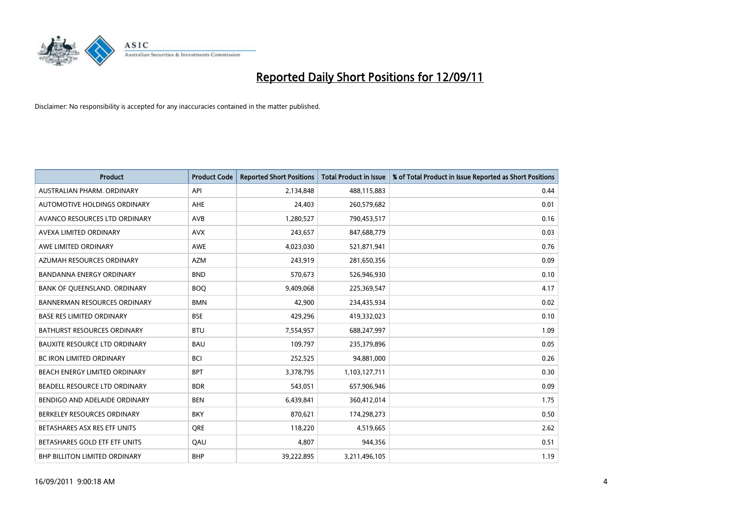

| <b>Product</b>                       | <b>Product Code</b> | <b>Reported Short Positions</b> | <b>Total Product in Issue</b> | % of Total Product in Issue Reported as Short Positions |
|--------------------------------------|---------------------|---------------------------------|-------------------------------|---------------------------------------------------------|
| AUSTRALIAN PHARM, ORDINARY           | API                 | 2,134,848                       | 488,115,883                   | 0.44                                                    |
| AUTOMOTIVE HOLDINGS ORDINARY         | <b>AHE</b>          | 24,403                          | 260,579,682                   | 0.01                                                    |
| AVANCO RESOURCES LTD ORDINARY        | AVB                 | 1,280,527                       | 790,453,517                   | 0.16                                                    |
| AVEXA LIMITED ORDINARY               | <b>AVX</b>          | 243,657                         | 847,688,779                   | 0.03                                                    |
| AWE LIMITED ORDINARY                 | <b>AWE</b>          | 4,023,030                       | 521,871,941                   | 0.76                                                    |
| AZUMAH RESOURCES ORDINARY            | <b>AZM</b>          | 243,919                         | 281,650,356                   | 0.09                                                    |
| <b>BANDANNA ENERGY ORDINARY</b>      | <b>BND</b>          | 570,673                         | 526,946,930                   | 0.10                                                    |
| BANK OF QUEENSLAND. ORDINARY         | <b>BOQ</b>          | 9,409,068                       | 225,369,547                   | 4.17                                                    |
| <b>BANNERMAN RESOURCES ORDINARY</b>  | <b>BMN</b>          | 42,900                          | 234,435,934                   | 0.02                                                    |
| <b>BASE RES LIMITED ORDINARY</b>     | <b>BSE</b>          | 429,296                         | 419,332,023                   | 0.10                                                    |
| BATHURST RESOURCES ORDINARY          | <b>BTU</b>          | 7,554,957                       | 688,247,997                   | 1.09                                                    |
| <b>BAUXITE RESOURCE LTD ORDINARY</b> | <b>BAU</b>          | 109,797                         | 235,379,896                   | 0.05                                                    |
| <b>BC IRON LIMITED ORDINARY</b>      | <b>BCI</b>          | 252,525                         | 94,881,000                    | 0.26                                                    |
| BEACH ENERGY LIMITED ORDINARY        | <b>BPT</b>          | 3,378,795                       | 1,103,127,711                 | 0.30                                                    |
| BEADELL RESOURCE LTD ORDINARY        | <b>BDR</b>          | 543,051                         | 657,906,946                   | 0.09                                                    |
| BENDIGO AND ADELAIDE ORDINARY        | <b>BEN</b>          | 6,439,841                       | 360,412,014                   | 1.75                                                    |
| BERKELEY RESOURCES ORDINARY          | <b>BKY</b>          | 870,621                         | 174,298,273                   | 0.50                                                    |
| BETASHARES ASX RES ETF UNITS         | <b>ORE</b>          | 118,220                         | 4,519,665                     | 2.62                                                    |
| BETASHARES GOLD ETF ETF UNITS        | QAU                 | 4,807                           | 944,356                       | 0.51                                                    |
| BHP BILLITON LIMITED ORDINARY        | <b>BHP</b>          | 39,222,895                      | 3,211,496,105                 | 1.19                                                    |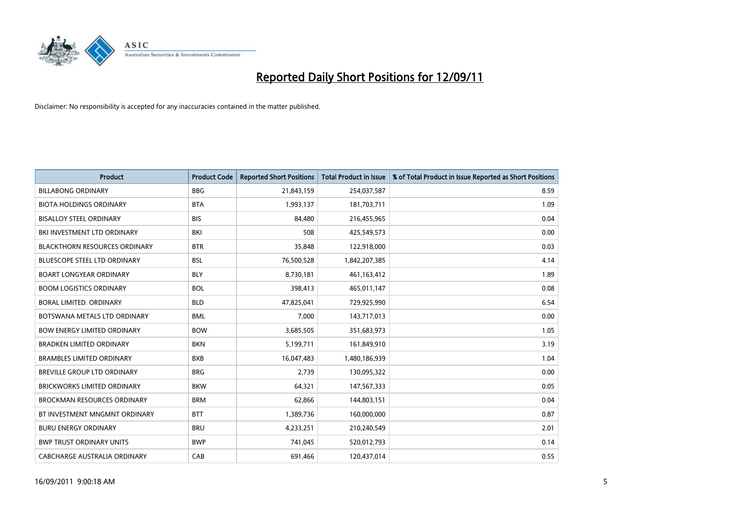

| <b>Product</b>                       | <b>Product Code</b> | <b>Reported Short Positions</b> | <b>Total Product in Issue</b> | % of Total Product in Issue Reported as Short Positions |
|--------------------------------------|---------------------|---------------------------------|-------------------------------|---------------------------------------------------------|
| <b>BILLABONG ORDINARY</b>            | <b>BBG</b>          | 21,843,159                      | 254,037,587                   | 8.59                                                    |
| <b>BIOTA HOLDINGS ORDINARY</b>       | <b>BTA</b>          | 1,993,137                       | 181,703,711                   | 1.09                                                    |
| <b>BISALLOY STEEL ORDINARY</b>       | <b>BIS</b>          | 84.480                          | 216,455,965                   | 0.04                                                    |
| BKI INVESTMENT LTD ORDINARY          | BKI                 | 508                             | 425,549,573                   | 0.00                                                    |
| <b>BLACKTHORN RESOURCES ORDINARY</b> | <b>BTR</b>          | 35,848                          | 122,918,000                   | 0.03                                                    |
| <b>BLUESCOPE STEEL LTD ORDINARY</b>  | <b>BSL</b>          | 76,500,528                      | 1,842,207,385                 | 4.14                                                    |
| <b>BOART LONGYEAR ORDINARY</b>       | <b>BLY</b>          | 8,730,181                       | 461,163,412                   | 1.89                                                    |
| <b>BOOM LOGISTICS ORDINARY</b>       | <b>BOL</b>          | 398,413                         | 465,011,147                   | 0.08                                                    |
| BORAL LIMITED, ORDINARY              | <b>BLD</b>          | 47,825,041                      | 729,925,990                   | 6.54                                                    |
| BOTSWANA METALS LTD ORDINARY         | <b>BML</b>          | 7,000                           | 143,717,013                   | 0.00                                                    |
| <b>BOW ENERGY LIMITED ORDINARY</b>   | <b>BOW</b>          | 3,685,505                       | 351,683,973                   | 1.05                                                    |
| <b>BRADKEN LIMITED ORDINARY</b>      | <b>BKN</b>          | 5,199,711                       | 161,849,910                   | 3.19                                                    |
| <b>BRAMBLES LIMITED ORDINARY</b>     | <b>BXB</b>          | 16,047,483                      | 1,480,186,939                 | 1.04                                                    |
| <b>BREVILLE GROUP LTD ORDINARY</b>   | <b>BRG</b>          | 2,739                           | 130,095,322                   | 0.00                                                    |
| <b>BRICKWORKS LIMITED ORDINARY</b>   | <b>BKW</b>          | 64,321                          | 147,567,333                   | 0.05                                                    |
| <b>BROCKMAN RESOURCES ORDINARY</b>   | <b>BRM</b>          | 62,866                          | 144,803,151                   | 0.04                                                    |
| BT INVESTMENT MNGMNT ORDINARY        | <b>BTT</b>          | 1,389,736                       | 160,000,000                   | 0.87                                                    |
| <b>BURU ENERGY ORDINARY</b>          | <b>BRU</b>          | 4,233,251                       | 210,240,549                   | 2.01                                                    |
| <b>BWP TRUST ORDINARY UNITS</b>      | <b>BWP</b>          | 741,045                         | 520,012,793                   | 0.14                                                    |
| CABCHARGE AUSTRALIA ORDINARY         | CAB                 | 691,466                         | 120,437,014                   | 0.55                                                    |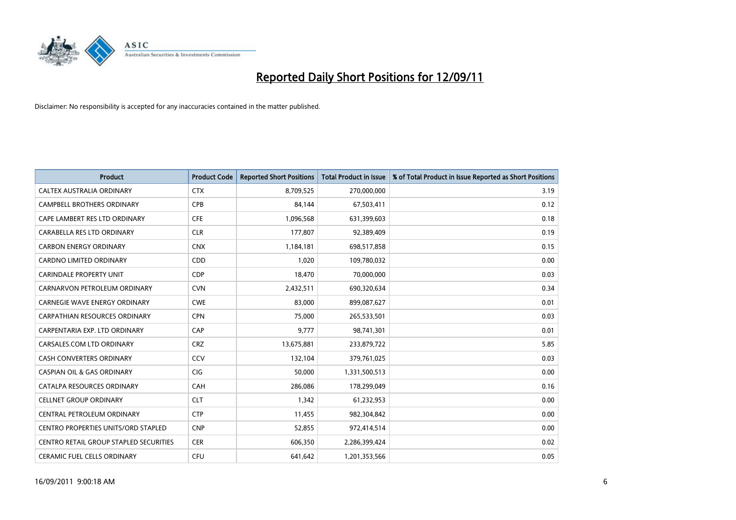

| <b>Product</b>                             | <b>Product Code</b> | <b>Reported Short Positions</b> | <b>Total Product in Issue</b> | % of Total Product in Issue Reported as Short Positions |
|--------------------------------------------|---------------------|---------------------------------|-------------------------------|---------------------------------------------------------|
| CALTEX AUSTRALIA ORDINARY                  | <b>CTX</b>          | 8,709,525                       | 270,000,000                   | 3.19                                                    |
| CAMPBELL BROTHERS ORDINARY                 | <b>CPB</b>          | 84,144                          | 67,503,411                    | 0.12                                                    |
| CAPE LAMBERT RES LTD ORDINARY              | <b>CFE</b>          | 1,096,568                       | 631,399,603                   | 0.18                                                    |
| CARABELLA RES LTD ORDINARY                 | <b>CLR</b>          | 177,807                         | 92,389,409                    | 0.19                                                    |
| <b>CARBON ENERGY ORDINARY</b>              | <b>CNX</b>          | 1,184,181                       | 698,517,858                   | 0.15                                                    |
| <b>CARDNO LIMITED ORDINARY</b>             | CDD                 | 1,020                           | 109,780,032                   | 0.00                                                    |
| <b>CARINDALE PROPERTY UNIT</b>             | <b>CDP</b>          | 18.470                          | 70,000,000                    | 0.03                                                    |
| CARNARVON PETROLEUM ORDINARY               | <b>CVN</b>          | 2,432,511                       | 690,320,634                   | 0.34                                                    |
| CARNEGIE WAVE ENERGY ORDINARY              | <b>CWE</b>          | 83,000                          | 899,087,627                   | 0.01                                                    |
| <b>CARPATHIAN RESOURCES ORDINARY</b>       | <b>CPN</b>          | 75,000                          | 265,533,501                   | 0.03                                                    |
| CARPENTARIA EXP. LTD ORDINARY              | CAP                 | 9,777                           | 98,741,301                    | 0.01                                                    |
| CARSALES.COM LTD ORDINARY                  | <b>CRZ</b>          | 13,675,881                      | 233,879,722                   | 5.85                                                    |
| CASH CONVERTERS ORDINARY                   | CCV                 | 132,104                         | 379,761,025                   | 0.03                                                    |
| <b>CASPIAN OIL &amp; GAS ORDINARY</b>      | <b>CIG</b>          | 50,000                          | 1,331,500,513                 | 0.00                                                    |
| CATALPA RESOURCES ORDINARY                 | CAH                 | 286,086                         | 178,299,049                   | 0.16                                                    |
| <b>CELLNET GROUP ORDINARY</b>              | <b>CLT</b>          | 1,342                           | 61,232,953                    | 0.00                                                    |
| CENTRAL PETROLEUM ORDINARY                 | <b>CTP</b>          | 11,455                          | 982,304,842                   | 0.00                                                    |
| <b>CENTRO PROPERTIES UNITS/ORD STAPLED</b> | <b>CNP</b>          | 52,855                          | 972,414,514                   | 0.00                                                    |
| CENTRO RETAIL GROUP STAPLED SECURITIES     | <b>CER</b>          | 606,350                         | 2,286,399,424                 | 0.02                                                    |
| <b>CERAMIC FUEL CELLS ORDINARY</b>         | <b>CFU</b>          | 641.642                         | 1,201,353,566                 | 0.05                                                    |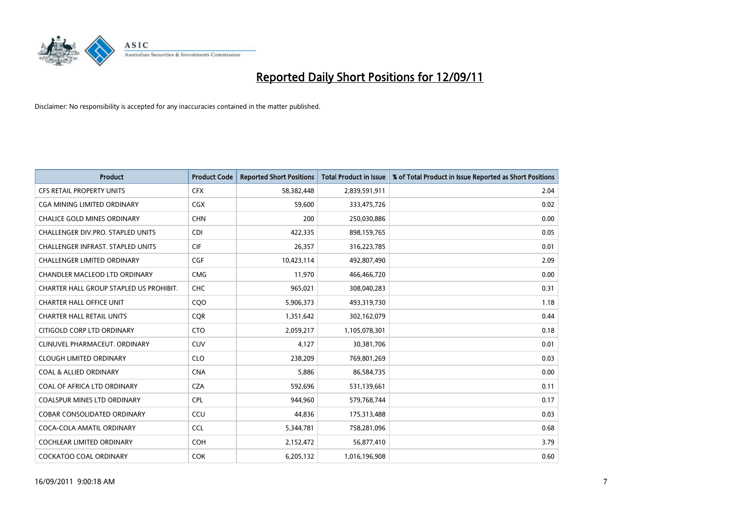

| <b>Product</b>                           | <b>Product Code</b> | <b>Reported Short Positions</b> | <b>Total Product in Issue</b> | % of Total Product in Issue Reported as Short Positions |
|------------------------------------------|---------------------|---------------------------------|-------------------------------|---------------------------------------------------------|
| <b>CFS RETAIL PROPERTY UNITS</b>         | <b>CFX</b>          | 58,382,448                      | 2,839,591,911                 | 2.04                                                    |
| CGA MINING LIMITED ORDINARY              | CGX                 | 59,600                          | 333,475,726                   | 0.02                                                    |
| <b>CHALICE GOLD MINES ORDINARY</b>       | <b>CHN</b>          | 200                             | 250,030,886                   | 0.00                                                    |
| CHALLENGER DIV.PRO. STAPLED UNITS        | <b>CDI</b>          | 422,335                         | 898,159,765                   | 0.05                                                    |
| <b>CHALLENGER INFRAST, STAPLED UNITS</b> | <b>CIF</b>          | 26,357                          | 316,223,785                   | 0.01                                                    |
| <b>CHALLENGER LIMITED ORDINARY</b>       | <b>CGF</b>          | 10,423,114                      | 492,807,490                   | 2.09                                                    |
| <b>CHANDLER MACLEOD LTD ORDINARY</b>     | <b>CMG</b>          | 11.970                          | 466,466,720                   | 0.00                                                    |
| CHARTER HALL GROUP STAPLED US PROHIBIT.  | <b>CHC</b>          | 965,021                         | 308,040,283                   | 0.31                                                    |
| <b>CHARTER HALL OFFICE UNIT</b>          | CQO                 | 5,906,373                       | 493,319,730                   | 1.18                                                    |
| <b>CHARTER HALL RETAIL UNITS</b>         | <b>COR</b>          | 1,351,642                       | 302,162,079                   | 0.44                                                    |
| CITIGOLD CORP LTD ORDINARY               | <b>CTO</b>          | 2,059,217                       | 1,105,078,301                 | 0.18                                                    |
| CLINUVEL PHARMACEUT. ORDINARY            | <b>CUV</b>          | 4,127                           | 30,381,706                    | 0.01                                                    |
| <b>CLOUGH LIMITED ORDINARY</b>           | <b>CLO</b>          | 238,209                         | 769,801,269                   | 0.03                                                    |
| <b>COAL &amp; ALLIED ORDINARY</b>        | <b>CNA</b>          | 5,886                           | 86,584,735                    | 0.00                                                    |
| COAL OF AFRICA LTD ORDINARY              | <b>CZA</b>          | 592,696                         | 531,139,661                   | 0.11                                                    |
| COALSPUR MINES LTD ORDINARY              | <b>CPL</b>          | 944,960                         | 579,768,744                   | 0.17                                                    |
| <b>COBAR CONSOLIDATED ORDINARY</b>       | CCU                 | 44,836                          | 175,313,488                   | 0.03                                                    |
| COCA-COLA AMATIL ORDINARY                | <b>CCL</b>          | 5,344,781                       | 758,281,096                   | 0.68                                                    |
| <b>COCHLEAR LIMITED ORDINARY</b>         | <b>COH</b>          | 2,152,472                       | 56,877,410                    | 3.79                                                    |
| <b>COCKATOO COAL ORDINARY</b>            | <b>COK</b>          | 6,205,132                       | 1,016,196,908                 | 0.60                                                    |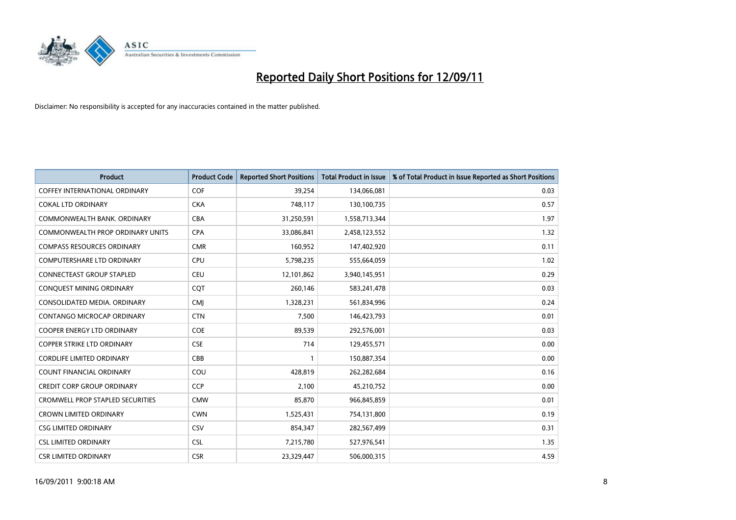

| <b>Product</b>                          | <b>Product Code</b> | <b>Reported Short Positions</b> | <b>Total Product in Issue</b> | % of Total Product in Issue Reported as Short Positions |
|-----------------------------------------|---------------------|---------------------------------|-------------------------------|---------------------------------------------------------|
| COFFEY INTERNATIONAL ORDINARY           | <b>COF</b>          | 39,254                          | 134,066,081                   | 0.03                                                    |
| <b>COKAL LTD ORDINARY</b>               | <b>CKA</b>          | 748,117                         | 130,100,735                   | 0.57                                                    |
| COMMONWEALTH BANK, ORDINARY             | <b>CBA</b>          | 31,250,591                      | 1,558,713,344                 | 1.97                                                    |
| COMMONWEALTH PROP ORDINARY UNITS        | <b>CPA</b>          | 33,086,841                      | 2,458,123,552                 | 1.32                                                    |
| <b>COMPASS RESOURCES ORDINARY</b>       | <b>CMR</b>          | 160,952                         | 147,402,920                   | 0.11                                                    |
| <b>COMPUTERSHARE LTD ORDINARY</b>       | <b>CPU</b>          | 5,798,235                       | 555,664,059                   | 1.02                                                    |
| <b>CONNECTEAST GROUP STAPLED</b>        | <b>CEU</b>          | 12,101,862                      | 3,940,145,951                 | 0.29                                                    |
| CONQUEST MINING ORDINARY                | <b>COT</b>          | 260,146                         | 583,241,478                   | 0.03                                                    |
| CONSOLIDATED MEDIA, ORDINARY            | <b>CMI</b>          | 1,328,231                       | 561,834,996                   | 0.24                                                    |
| <b>CONTANGO MICROCAP ORDINARY</b>       | <b>CTN</b>          | 7,500                           | 146,423,793                   | 0.01                                                    |
| <b>COOPER ENERGY LTD ORDINARY</b>       | COE                 | 89,539                          | 292,576,001                   | 0.03                                                    |
| <b>COPPER STRIKE LTD ORDINARY</b>       | <b>CSE</b>          | 714                             | 129,455,571                   | 0.00                                                    |
| <b>CORDLIFE LIMITED ORDINARY</b>        | CBB                 |                                 | 150,887,354                   | 0.00                                                    |
| <b>COUNT FINANCIAL ORDINARY</b>         | COU                 | 428,819                         | 262,282,684                   | 0.16                                                    |
| <b>CREDIT CORP GROUP ORDINARY</b>       | CCP                 | 2,100                           | 45,210,752                    | 0.00                                                    |
| <b>CROMWELL PROP STAPLED SECURITIES</b> | <b>CMW</b>          | 85,870                          | 966,845,859                   | 0.01                                                    |
| <b>CROWN LIMITED ORDINARY</b>           | <b>CWN</b>          | 1,525,431                       | 754,131,800                   | 0.19                                                    |
| <b>CSG LIMITED ORDINARY</b>             | CSV                 | 854,347                         | 282,567,499                   | 0.31                                                    |
| <b>CSL LIMITED ORDINARY</b>             | <b>CSL</b>          | 7,215,780                       | 527,976,541                   | 1.35                                                    |
| <b>CSR LIMITED ORDINARY</b>             | <b>CSR</b>          | 23,329,447                      | 506,000,315                   | 4.59                                                    |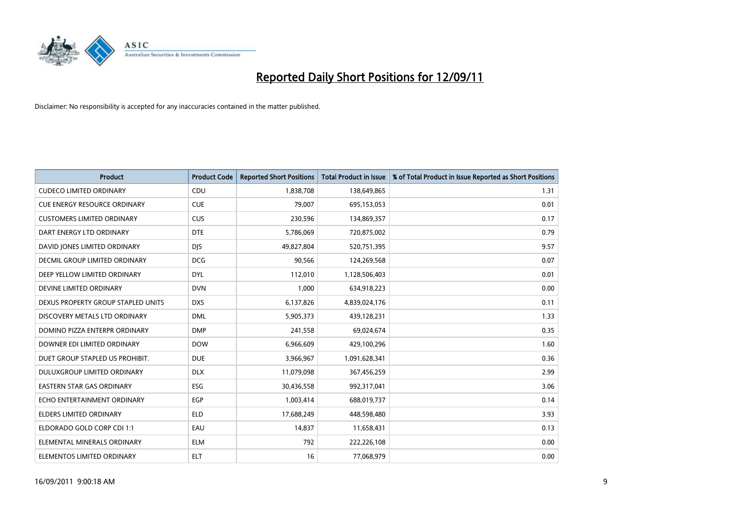

| <b>Product</b>                      | <b>Product Code</b> | <b>Reported Short Positions</b> | <b>Total Product in Issue</b> | % of Total Product in Issue Reported as Short Positions |
|-------------------------------------|---------------------|---------------------------------|-------------------------------|---------------------------------------------------------|
| <b>CUDECO LIMITED ORDINARY</b>      | CDU                 | 1,838,708                       | 138,649,865                   | 1.31                                                    |
| <b>CUE ENERGY RESOURCE ORDINARY</b> | <b>CUE</b>          | 79,007                          | 695,153,053                   | 0.01                                                    |
| <b>CUSTOMERS LIMITED ORDINARY</b>   | <b>CUS</b>          | 230,596                         | 134,869,357                   | 0.17                                                    |
| DART ENERGY LTD ORDINARY            | <b>DTE</b>          | 5,786,069                       | 720,875,002                   | 0.79                                                    |
| DAVID JONES LIMITED ORDINARY        | <b>DIS</b>          | 49,827,804                      | 520,751,395                   | 9.57                                                    |
| DECMIL GROUP LIMITED ORDINARY       | <b>DCG</b>          | 90,566                          | 124,269,568                   | 0.07                                                    |
| DEEP YELLOW LIMITED ORDINARY        | <b>DYL</b>          | 112,010                         | 1,128,506,403                 | 0.01                                                    |
| DEVINE LIMITED ORDINARY             | <b>DVN</b>          | 1,000                           | 634,918,223                   | 0.00                                                    |
| DEXUS PROPERTY GROUP STAPLED UNITS  | <b>DXS</b>          | 6,137,826                       | 4,839,024,176                 | 0.11                                                    |
| DISCOVERY METALS LTD ORDINARY       | <b>DML</b>          | 5,905,373                       | 439,128,231                   | 1.33                                                    |
| DOMINO PIZZA ENTERPR ORDINARY       | <b>DMP</b>          | 241,558                         | 69,024,674                    | 0.35                                                    |
| DOWNER EDI LIMITED ORDINARY         | <b>DOW</b>          | 6,966,609                       | 429,100,296                   | 1.60                                                    |
| DUET GROUP STAPLED US PROHIBIT.     | <b>DUE</b>          | 3,966,967                       | 1,091,628,341                 | 0.36                                                    |
| DULUXGROUP LIMITED ORDINARY         | <b>DLX</b>          | 11,079,098                      | 367,456,259                   | 2.99                                                    |
| <b>EASTERN STAR GAS ORDINARY</b>    | ESG                 | 30,436,558                      | 992,317,041                   | 3.06                                                    |
| ECHO ENTERTAINMENT ORDINARY         | <b>EGP</b>          | 1,003,414                       | 688,019,737                   | 0.14                                                    |
| ELDERS LIMITED ORDINARY             | <b>ELD</b>          | 17,688,249                      | 448,598,480                   | 3.93                                                    |
| ELDORADO GOLD CORP CDI 1:1          | EAU                 | 14,837                          | 11,658,431                    | 0.13                                                    |
| ELEMENTAL MINERALS ORDINARY         | <b>ELM</b>          | 792                             | 222,226,108                   | 0.00                                                    |
| ELEMENTOS LIMITED ORDINARY          | <b>ELT</b>          | 16                              | 77,068,979                    | 0.00                                                    |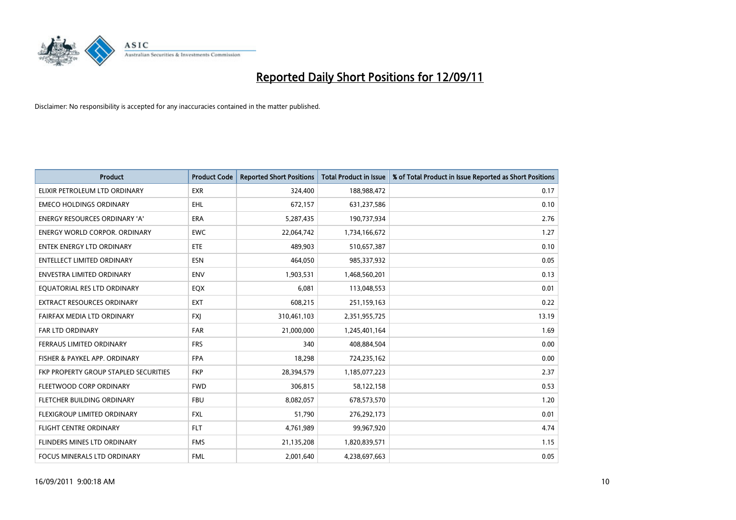

| <b>Product</b>                        | <b>Product Code</b> | <b>Reported Short Positions</b> | <b>Total Product in Issue</b> | % of Total Product in Issue Reported as Short Positions |
|---------------------------------------|---------------------|---------------------------------|-------------------------------|---------------------------------------------------------|
| ELIXIR PETROLEUM LTD ORDINARY         | <b>EXR</b>          | 324,400                         | 188,988,472                   | 0.17                                                    |
| <b>EMECO HOLDINGS ORDINARY</b>        | <b>EHL</b>          | 672,157                         | 631,237,586                   | 0.10                                                    |
| <b>ENERGY RESOURCES ORDINARY 'A'</b>  | <b>ERA</b>          | 5,287,435                       | 190,737,934                   | 2.76                                                    |
| <b>ENERGY WORLD CORPOR, ORDINARY</b>  | <b>EWC</b>          | 22,064,742                      | 1,734,166,672                 | 1.27                                                    |
| <b>ENTEK ENERGY LTD ORDINARY</b>      | ETE                 | 489,903                         | 510,657,387                   | 0.10                                                    |
| <b>ENTELLECT LIMITED ORDINARY</b>     | <b>ESN</b>          | 464,050                         | 985,337,932                   | 0.05                                                    |
| <b>ENVESTRA LIMITED ORDINARY</b>      | <b>ENV</b>          | 1,903,531                       | 1,468,560,201                 | 0.13                                                    |
| EQUATORIAL RES LTD ORDINARY           | <b>EQX</b>          | 6,081                           | 113,048,553                   | 0.01                                                    |
| <b>EXTRACT RESOURCES ORDINARY</b>     | <b>EXT</b>          | 608,215                         | 251,159,163                   | 0.22                                                    |
| FAIRFAX MEDIA LTD ORDINARY            | <b>FXI</b>          | 310,461,103                     | 2,351,955,725                 | 13.19                                                   |
| <b>FAR LTD ORDINARY</b>               | <b>FAR</b>          | 21,000,000                      | 1,245,401,164                 | 1.69                                                    |
| FERRAUS LIMITED ORDINARY              | <b>FRS</b>          | 340                             | 408,884,504                   | 0.00                                                    |
| FISHER & PAYKEL APP. ORDINARY         | <b>FPA</b>          | 18,298                          | 724,235,162                   | 0.00                                                    |
| FKP PROPERTY GROUP STAPLED SECURITIES | <b>FKP</b>          | 28,394,579                      | 1,185,077,223                 | 2.37                                                    |
| FLEETWOOD CORP ORDINARY               | <b>FWD</b>          | 306,815                         | 58,122,158                    | 0.53                                                    |
| FLETCHER BUILDING ORDINARY            | <b>FBU</b>          | 8,082,057                       | 678,573,570                   | 1.20                                                    |
| <b>FLEXIGROUP LIMITED ORDINARY</b>    | <b>FXL</b>          | 51,790                          | 276,292,173                   | 0.01                                                    |
| <b>FLIGHT CENTRE ORDINARY</b>         | <b>FLT</b>          | 4,761,989                       | 99,967,920                    | 4.74                                                    |
| FLINDERS MINES LTD ORDINARY           | <b>FMS</b>          | 21,135,208                      | 1,820,839,571                 | 1.15                                                    |
| FOCUS MINERALS LTD ORDINARY           | <b>FML</b>          | 2,001,640                       | 4,238,697,663                 | 0.05                                                    |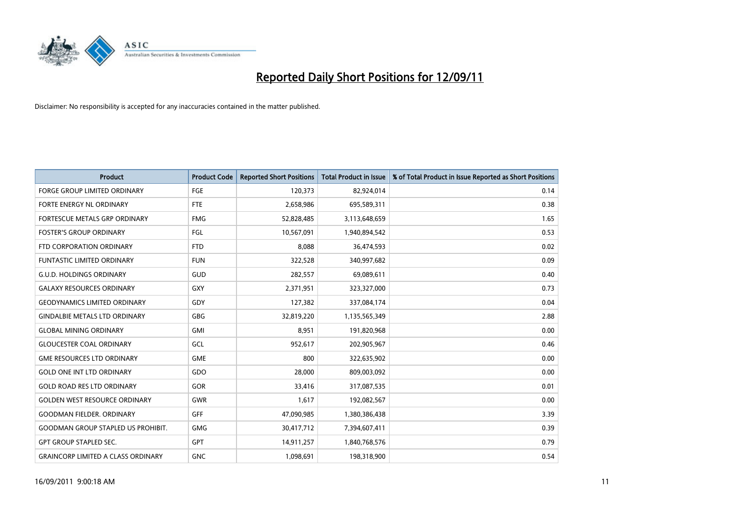

| <b>Product</b>                            | <b>Product Code</b> | <b>Reported Short Positions</b> | <b>Total Product in Issue</b> | % of Total Product in Issue Reported as Short Positions |
|-------------------------------------------|---------------------|---------------------------------|-------------------------------|---------------------------------------------------------|
| <b>FORGE GROUP LIMITED ORDINARY</b>       | FGE                 | 120,373                         | 82,924,014                    | 0.14                                                    |
| FORTE ENERGY NL ORDINARY                  | <b>FTE</b>          | 2,658,986                       | 695,589,311                   | 0.38                                                    |
| FORTESCUE METALS GRP ORDINARY             | <b>FMG</b>          | 52,828,485                      | 3,113,648,659                 | 1.65                                                    |
| <b>FOSTER'S GROUP ORDINARY</b>            | FGL                 | 10,567,091                      | 1,940,894,542                 | 0.53                                                    |
| FTD CORPORATION ORDINARY                  | <b>FTD</b>          | 8,088                           | 36,474,593                    | 0.02                                                    |
| <b>FUNTASTIC LIMITED ORDINARY</b>         | <b>FUN</b>          | 322,528                         | 340,997,682                   | 0.09                                                    |
| <b>G.U.D. HOLDINGS ORDINARY</b>           | GUD                 | 282,557                         | 69,089,611                    | 0.40                                                    |
| <b>GALAXY RESOURCES ORDINARY</b>          | <b>GXY</b>          | 2,371,951                       | 323,327,000                   | 0.73                                                    |
| <b>GEODYNAMICS LIMITED ORDINARY</b>       | GDY                 | 127,382                         | 337,084,174                   | 0.04                                                    |
| <b>GINDALBIE METALS LTD ORDINARY</b>      | GBG                 | 32,819,220                      | 1,135,565,349                 | 2.88                                                    |
| <b>GLOBAL MINING ORDINARY</b>             | <b>GMI</b>          | 8,951                           | 191,820,968                   | 0.00                                                    |
| <b>GLOUCESTER COAL ORDINARY</b>           | GCL                 | 952,617                         | 202,905,967                   | 0.46                                                    |
| <b>GME RESOURCES LTD ORDINARY</b>         | <b>GME</b>          | 800                             | 322,635,902                   | 0.00                                                    |
| <b>GOLD ONE INT LTD ORDINARY</b>          | GDO                 | 28,000                          | 809,003,092                   | 0.00                                                    |
| <b>GOLD ROAD RES LTD ORDINARY</b>         | GOR                 | 33,416                          | 317,087,535                   | 0.01                                                    |
| <b>GOLDEN WEST RESOURCE ORDINARY</b>      | <b>GWR</b>          | 1,617                           | 192,082,567                   | 0.00                                                    |
| <b>GOODMAN FIELDER, ORDINARY</b>          | <b>GFF</b>          | 47,090,985                      | 1,380,386,438                 | 3.39                                                    |
| <b>GOODMAN GROUP STAPLED US PROHIBIT.</b> | <b>GMG</b>          | 30,417,712                      | 7,394,607,411                 | 0.39                                                    |
| <b>GPT GROUP STAPLED SEC.</b>             | <b>GPT</b>          | 14,911,257                      | 1,840,768,576                 | 0.79                                                    |
| <b>GRAINCORP LIMITED A CLASS ORDINARY</b> | <b>GNC</b>          | 1.098.691                       | 198,318,900                   | 0.54                                                    |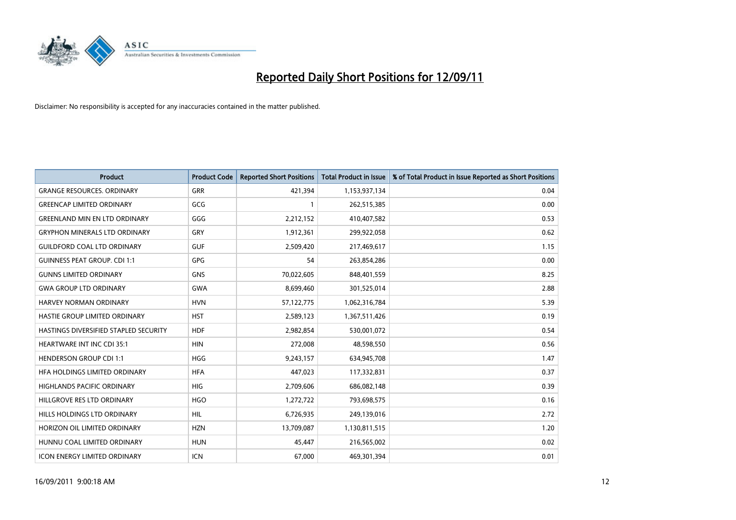

| <b>Product</b>                        | <b>Product Code</b> | <b>Reported Short Positions</b> | <b>Total Product in Issue</b> | % of Total Product in Issue Reported as Short Positions |
|---------------------------------------|---------------------|---------------------------------|-------------------------------|---------------------------------------------------------|
| <b>GRANGE RESOURCES, ORDINARY</b>     | <b>GRR</b>          | 421,394                         | 1,153,937,134                 | 0.04                                                    |
| <b>GREENCAP LIMITED ORDINARY</b>      | GCG                 |                                 | 262,515,385                   | 0.00                                                    |
| <b>GREENLAND MIN EN LTD ORDINARY</b>  | GGG                 | 2,212,152                       | 410,407,582                   | 0.53                                                    |
| <b>GRYPHON MINERALS LTD ORDINARY</b>  | GRY                 | 1,912,361                       | 299,922,058                   | 0.62                                                    |
| <b>GUILDFORD COAL LTD ORDINARY</b>    | <b>GUF</b>          | 2,509,420                       | 217,469,617                   | 1.15                                                    |
| <b>GUINNESS PEAT GROUP. CDI 1:1</b>   | <b>GPG</b>          | 54                              | 263,854,286                   | 0.00                                                    |
| <b>GUNNS LIMITED ORDINARY</b>         | <b>GNS</b>          | 70,022,605                      | 848,401,559                   | 8.25                                                    |
| <b>GWA GROUP LTD ORDINARY</b>         | <b>GWA</b>          | 8,699,460                       | 301,525,014                   | 2.88                                                    |
| HARVEY NORMAN ORDINARY                | <b>HVN</b>          | 57,122,775                      | 1,062,316,784                 | 5.39                                                    |
| HASTIE GROUP LIMITED ORDINARY         | <b>HST</b>          | 2,589,123                       | 1,367,511,426                 | 0.19                                                    |
| HASTINGS DIVERSIFIED STAPLED SECURITY | <b>HDF</b>          | 2,982,854                       | 530,001,072                   | 0.54                                                    |
| <b>HEARTWARE INT INC CDI 35:1</b>     | <b>HIN</b>          | 272,008                         | 48,598,550                    | 0.56                                                    |
| <b>HENDERSON GROUP CDI 1:1</b>        | <b>HGG</b>          | 9,243,157                       | 634,945,708                   | 1.47                                                    |
| HFA HOLDINGS LIMITED ORDINARY         | <b>HFA</b>          | 447,023                         | 117,332,831                   | 0.37                                                    |
| <b>HIGHLANDS PACIFIC ORDINARY</b>     | <b>HIG</b>          | 2,709,606                       | 686,082,148                   | 0.39                                                    |
| HILLGROVE RES LTD ORDINARY            | <b>HGO</b>          | 1,272,722                       | 793,698,575                   | 0.16                                                    |
| HILLS HOLDINGS LTD ORDINARY           | <b>HIL</b>          | 6,726,935                       | 249,139,016                   | 2.72                                                    |
| HORIZON OIL LIMITED ORDINARY          | <b>HZN</b>          | 13,709,087                      | 1,130,811,515                 | 1.20                                                    |
| HUNNU COAL LIMITED ORDINARY           | <b>HUN</b>          | 45,447                          | 216,565,002                   | 0.02                                                    |
| <b>ICON ENERGY LIMITED ORDINARY</b>   | <b>ICN</b>          | 67,000                          | 469,301,394                   | 0.01                                                    |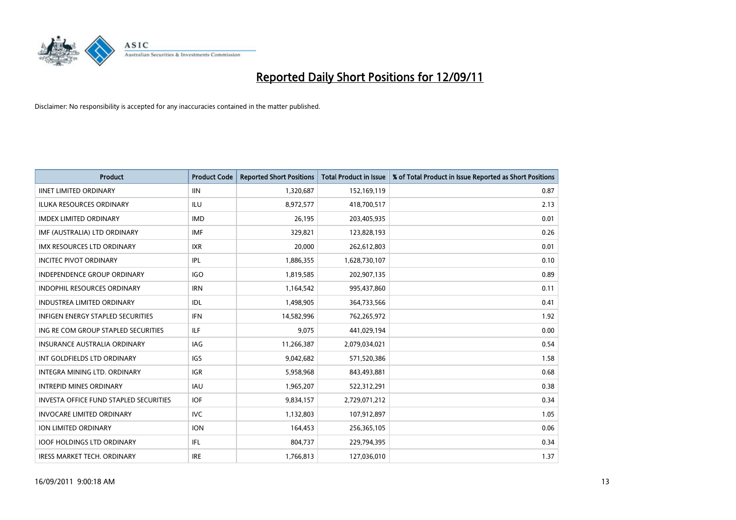

| <b>Product</b>                           | <b>Product Code</b> | <b>Reported Short Positions</b> | <b>Total Product in Issue</b> | % of Total Product in Issue Reported as Short Positions |
|------------------------------------------|---------------------|---------------------------------|-------------------------------|---------------------------------------------------------|
| <b>IINET LIMITED ORDINARY</b>            | <b>IIN</b>          | 1,320,687                       | 152,169,119                   | 0.87                                                    |
| ILUKA RESOURCES ORDINARY                 | ILU                 | 8,972,577                       | 418,700,517                   | 2.13                                                    |
| <b>IMDEX LIMITED ORDINARY</b>            | <b>IMD</b>          | 26,195                          | 203,405,935                   | 0.01                                                    |
| IMF (AUSTRALIA) LTD ORDINARY             | <b>IMF</b>          | 329,821                         | 123,828,193                   | 0.26                                                    |
| <b>IMX RESOURCES LTD ORDINARY</b>        | <b>IXR</b>          | 20,000                          | 262,612,803                   | 0.01                                                    |
| <b>INCITEC PIVOT ORDINARY</b>            | IPL                 | 1,886,355                       | 1,628,730,107                 | 0.10                                                    |
| <b>INDEPENDENCE GROUP ORDINARY</b>       | <b>IGO</b>          | 1,819,585                       | 202,907,135                   | 0.89                                                    |
| INDOPHIL RESOURCES ORDINARY              | <b>IRN</b>          | 1,164,542                       | 995,437,860                   | 0.11                                                    |
| INDUSTREA LIMITED ORDINARY               | IDL                 | 1,498,905                       | 364,733,566                   | 0.41                                                    |
| <b>INFIGEN ENERGY STAPLED SECURITIES</b> | <b>IFN</b>          | 14,582,996                      | 762,265,972                   | 1.92                                                    |
| ING RE COM GROUP STAPLED SECURITIES      | ILF.                | 9,075                           | 441,029,194                   | 0.00                                                    |
| <b>INSURANCE AUSTRALIA ORDINARY</b>      | IAG                 | 11,266,387                      | 2,079,034,021                 | 0.54                                                    |
| INT GOLDFIELDS LTD ORDINARY              | <b>IGS</b>          | 9,042,682                       | 571,520,386                   | 1.58                                                    |
| <b>INTEGRA MINING LTD, ORDINARY</b>      | <b>IGR</b>          | 5,958,968                       | 843,493,881                   | 0.68                                                    |
| <b>INTREPID MINES ORDINARY</b>           | <b>IAU</b>          | 1,965,207                       | 522,312,291                   | 0.38                                                    |
| INVESTA OFFICE FUND STAPLED SECURITIES   | <b>IOF</b>          | 9,834,157                       | 2,729,071,212                 | 0.34                                                    |
| <b>INVOCARE LIMITED ORDINARY</b>         | IVC                 | 1,132,803                       | 107,912,897                   | 1.05                                                    |
| ION LIMITED ORDINARY                     | <b>ION</b>          | 164,453                         | 256,365,105                   | 0.06                                                    |
| <b>IOOF HOLDINGS LTD ORDINARY</b>        | IFL.                | 804,737                         | 229,794,395                   | 0.34                                                    |
| <b>IRESS MARKET TECH. ORDINARY</b>       | <b>IRE</b>          | 1,766,813                       | 127,036,010                   | 1.37                                                    |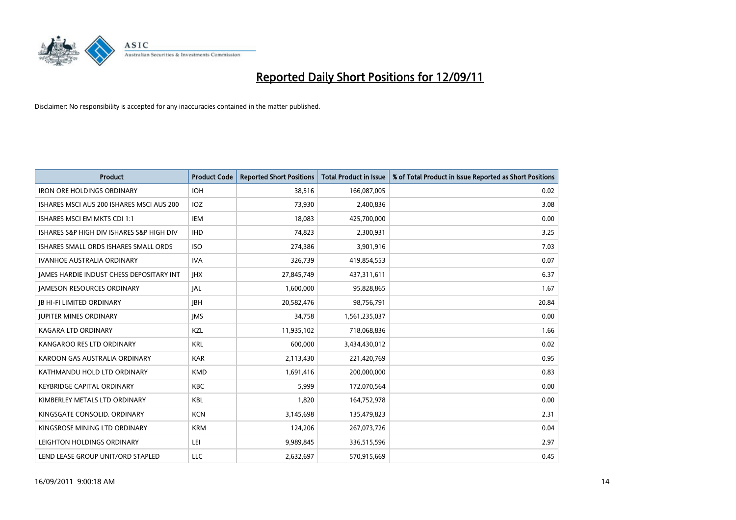

| <b>Product</b>                                  | <b>Product Code</b> | <b>Reported Short Positions</b> | <b>Total Product in Issue</b> | % of Total Product in Issue Reported as Short Positions |
|-------------------------------------------------|---------------------|---------------------------------|-------------------------------|---------------------------------------------------------|
| <b>IRON ORE HOLDINGS ORDINARY</b>               | <b>IOH</b>          | 38,516                          | 166,087,005                   | 0.02                                                    |
| ISHARES MSCI AUS 200 ISHARES MSCI AUS 200       | <b>IOZ</b>          | 73,930                          | 2,400,836                     | 3.08                                                    |
| <b>ISHARES MSCI EM MKTS CDI 1:1</b>             | IEM                 | 18,083                          | 425,700,000                   | 0.00                                                    |
| ISHARES S&P HIGH DIV ISHARES S&P HIGH DIV       | <b>IHD</b>          | 74,823                          | 2,300,931                     | 3.25                                                    |
| ISHARES SMALL ORDS ISHARES SMALL ORDS           | <b>ISO</b>          | 274,386                         | 3,901,916                     | 7.03                                                    |
| <b>IVANHOE AUSTRALIA ORDINARY</b>               | <b>IVA</b>          | 326,739                         | 419,854,553                   | 0.07                                                    |
| <b>JAMES HARDIE INDUST CHESS DEPOSITARY INT</b> | <b>IHX</b>          | 27,845,749                      | 437,311,611                   | 6.37                                                    |
| <b>JAMESON RESOURCES ORDINARY</b>               | <b>JAL</b>          | 1,600,000                       | 95,828,865                    | 1.67                                                    |
| JB HI-FI LIMITED ORDINARY                       | <b>IBH</b>          | 20,582,476                      | 98,756,791                    | 20.84                                                   |
| <b>JUPITER MINES ORDINARY</b>                   | <b>IMS</b>          | 34,758                          | 1,561,235,037                 | 0.00                                                    |
| KAGARA LTD ORDINARY                             | <b>KZL</b>          | 11,935,102                      | 718,068,836                   | 1.66                                                    |
| KANGAROO RES LTD ORDINARY                       | <b>KRL</b>          | 600.000                         | 3,434,430,012                 | 0.02                                                    |
| KAROON GAS AUSTRALIA ORDINARY                   | <b>KAR</b>          | 2,113,430                       | 221,420,769                   | 0.95                                                    |
| KATHMANDU HOLD LTD ORDINARY                     | <b>KMD</b>          | 1,691,416                       | 200,000,000                   | 0.83                                                    |
| <b>KEYBRIDGE CAPITAL ORDINARY</b>               | <b>KBC</b>          | 5,999                           | 172,070,564                   | 0.00                                                    |
| KIMBERLEY METALS LTD ORDINARY                   | <b>KBL</b>          | 1,820                           | 164,752,978                   | 0.00                                                    |
| KINGSGATE CONSOLID. ORDINARY                    | <b>KCN</b>          | 3,145,698                       | 135,479,823                   | 2.31                                                    |
| KINGSROSE MINING LTD ORDINARY                   | <b>KRM</b>          | 124,206                         | 267,073,726                   | 0.04                                                    |
| LEIGHTON HOLDINGS ORDINARY                      | LEI                 | 9,989,845                       | 336,515,596                   | 2.97                                                    |
| LEND LEASE GROUP UNIT/ORD STAPLED               | LLC                 | 2.632.697                       | 570,915,669                   | 0.45                                                    |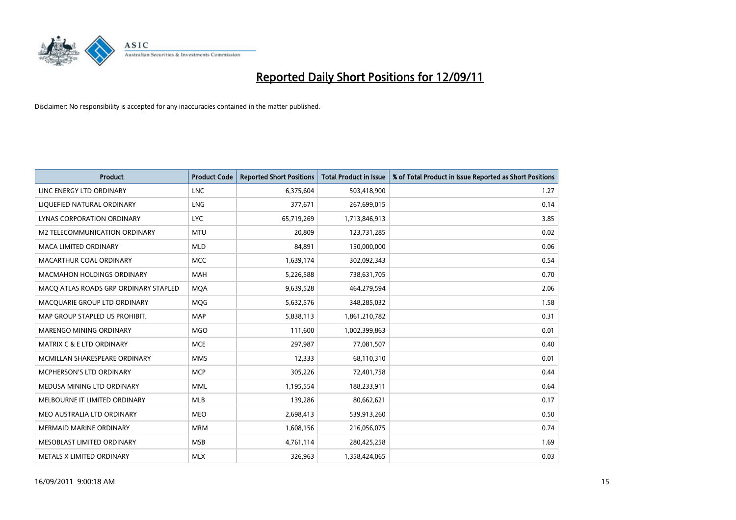

| <b>Product</b>                        | <b>Product Code</b> | <b>Reported Short Positions</b> | <b>Total Product in Issue</b> | % of Total Product in Issue Reported as Short Positions |
|---------------------------------------|---------------------|---------------------------------|-------------------------------|---------------------------------------------------------|
| LINC ENERGY LTD ORDINARY              | <b>LNC</b>          | 6,375,604                       | 503,418,900                   | 1.27                                                    |
| LIQUEFIED NATURAL ORDINARY            | <b>LNG</b>          | 377,671                         | 267,699,015                   | 0.14                                                    |
| LYNAS CORPORATION ORDINARY            | <b>LYC</b>          | 65,719,269                      | 1,713,846,913                 | 3.85                                                    |
| M2 TELECOMMUNICATION ORDINARY         | <b>MTU</b>          | 20,809                          | 123,731,285                   | 0.02                                                    |
| <b>MACA LIMITED ORDINARY</b>          | <b>MLD</b>          | 84,891                          | 150,000,000                   | 0.06                                                    |
| MACARTHUR COAL ORDINARY               | <b>MCC</b>          | 1,639,174                       | 302,092,343                   | 0.54                                                    |
| MACMAHON HOLDINGS ORDINARY            | <b>MAH</b>          | 5,226,588                       | 738,631,705                   | 0.70                                                    |
| MACO ATLAS ROADS GRP ORDINARY STAPLED | <b>MOA</b>          | 9,639,528                       | 464,279,594                   | 2.06                                                    |
| MACQUARIE GROUP LTD ORDINARY          | <b>MOG</b>          | 5,632,576                       | 348,285,032                   | 1.58                                                    |
| MAP GROUP STAPLED US PROHIBIT.        | <b>MAP</b>          | 5,838,113                       | 1,861,210,782                 | 0.31                                                    |
| <b>MARENGO MINING ORDINARY</b>        | <b>MGO</b>          | 111,600                         | 1,002,399,863                 | 0.01                                                    |
| MATRIX C & E LTD ORDINARY             | <b>MCE</b>          | 297,987                         | 77,081,507                    | 0.40                                                    |
| MCMILLAN SHAKESPEARE ORDINARY         | <b>MMS</b>          | 12,333                          | 68,110,310                    | 0.01                                                    |
| <b>MCPHERSON'S LTD ORDINARY</b>       | <b>MCP</b>          | 305,226                         | 72,401,758                    | 0.44                                                    |
| MEDUSA MINING LTD ORDINARY            | <b>MML</b>          | 1,195,554                       | 188,233,911                   | 0.64                                                    |
| MELBOURNE IT LIMITED ORDINARY         | <b>MLB</b>          | 139,286                         | 80,662,621                    | 0.17                                                    |
| MEO AUSTRALIA LTD ORDINARY            | <b>MEO</b>          | 2,698,413                       | 539,913,260                   | 0.50                                                    |
| <b>MERMAID MARINE ORDINARY</b>        | <b>MRM</b>          | 1,608,156                       | 216,056,075                   | 0.74                                                    |
| MESOBLAST LIMITED ORDINARY            | <b>MSB</b>          | 4,761,114                       | 280,425,258                   | 1.69                                                    |
| METALS X LIMITED ORDINARY             | <b>MLX</b>          | 326,963                         | 1,358,424,065                 | 0.03                                                    |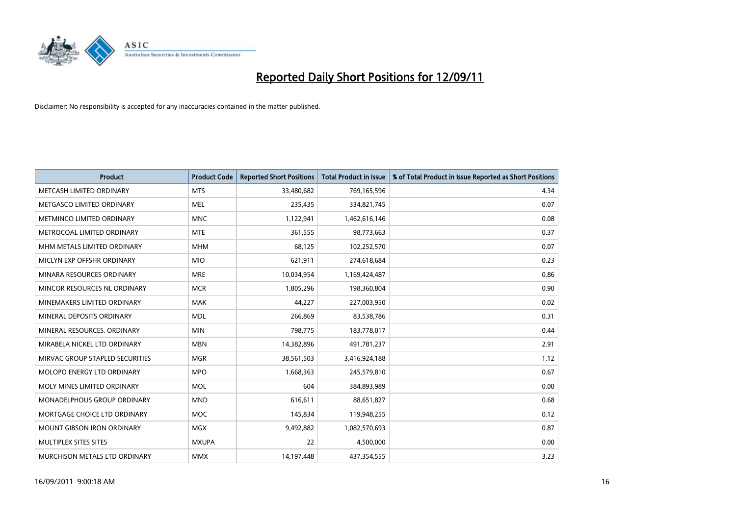

| <b>Product</b>                    | <b>Product Code</b> | <b>Reported Short Positions</b> | <b>Total Product in Issue</b> | % of Total Product in Issue Reported as Short Positions |
|-----------------------------------|---------------------|---------------------------------|-------------------------------|---------------------------------------------------------|
| METCASH LIMITED ORDINARY          | <b>MTS</b>          | 33,480,682                      | 769,165,596                   | 4.34                                                    |
| METGASCO LIMITED ORDINARY         | <b>MEL</b>          | 235,435                         | 334,821,745                   | 0.07                                                    |
| METMINCO LIMITED ORDINARY         | <b>MNC</b>          | 1,122,941                       | 1,462,616,146                 | 0.08                                                    |
| METROCOAL LIMITED ORDINARY        | <b>MTE</b>          | 361,555                         | 98,773,663                    | 0.37                                                    |
| MHM METALS LIMITED ORDINARY       | <b>MHM</b>          | 68,125                          | 102,252,570                   | 0.07                                                    |
| MICLYN EXP OFFSHR ORDINARY        | <b>MIO</b>          | 621,911                         | 274,618,684                   | 0.23                                                    |
| MINARA RESOURCES ORDINARY         | <b>MRE</b>          | 10,034,954                      | 1,169,424,487                 | 0.86                                                    |
| MINCOR RESOURCES NL ORDINARY      | <b>MCR</b>          | 1,805,296                       | 198,360,804                   | 0.90                                                    |
| MINEMAKERS LIMITED ORDINARY       | <b>MAK</b>          | 44,227                          | 227,003,950                   | 0.02                                                    |
| MINERAL DEPOSITS ORDINARY         | <b>MDL</b>          | 266,869                         | 83,538,786                    | 0.31                                                    |
| MINERAL RESOURCES. ORDINARY       | <b>MIN</b>          | 798,775                         | 183,778,017                   | 0.44                                                    |
| MIRABELA NICKEL LTD ORDINARY      | <b>MBN</b>          | 14,382,896                      | 491,781,237                   | 2.91                                                    |
| MIRVAC GROUP STAPLED SECURITIES   | <b>MGR</b>          | 38,561,503                      | 3,416,924,188                 | 1.12                                                    |
| MOLOPO ENERGY LTD ORDINARY        | <b>MPO</b>          | 1,668,363                       | 245,579,810                   | 0.67                                                    |
| MOLY MINES LIMITED ORDINARY       | <b>MOL</b>          | 604                             | 384,893,989                   | 0.00                                                    |
| MONADELPHOUS GROUP ORDINARY       | <b>MND</b>          | 616,611                         | 88,651,827                    | 0.68                                                    |
| MORTGAGE CHOICE LTD ORDINARY      | <b>MOC</b>          | 145,834                         | 119,948,255                   | 0.12                                                    |
| <b>MOUNT GIBSON IRON ORDINARY</b> | <b>MGX</b>          | 9,492,882                       | 1,082,570,693                 | 0.87                                                    |
| MULTIPLEX SITES SITES             | <b>MXUPA</b>        | 22                              | 4,500,000                     | 0.00                                                    |
| MURCHISON METALS LTD ORDINARY     | <b>MMX</b>          | 14,197,448                      | 437,354,555                   | 3.23                                                    |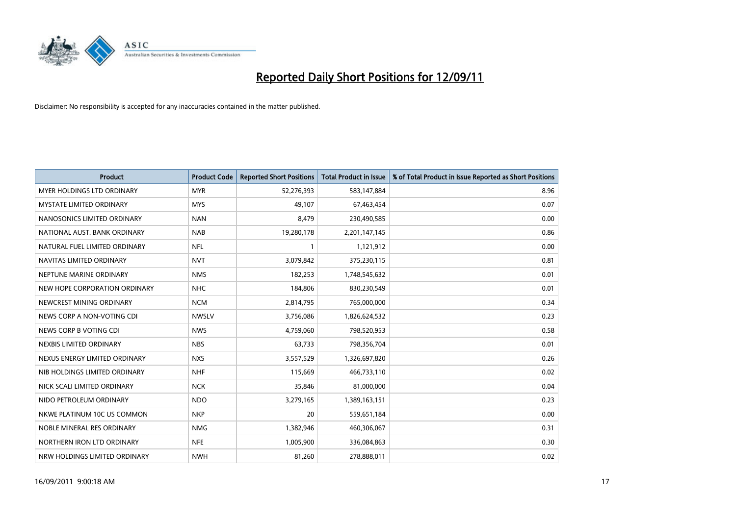

| <b>Product</b>                    | <b>Product Code</b> | <b>Reported Short Positions</b> | <b>Total Product in Issue</b> | % of Total Product in Issue Reported as Short Positions |
|-----------------------------------|---------------------|---------------------------------|-------------------------------|---------------------------------------------------------|
| <b>MYER HOLDINGS LTD ORDINARY</b> | <b>MYR</b>          | 52,276,393                      | 583,147,884                   | 8.96                                                    |
| MYSTATE LIMITED ORDINARY          | <b>MYS</b>          | 49.107                          | 67,463,454                    | 0.07                                                    |
| NANOSONICS LIMITED ORDINARY       | <b>NAN</b>          | 8,479                           | 230,490,585                   | 0.00                                                    |
| NATIONAL AUST, BANK ORDINARY      | <b>NAB</b>          | 19,280,178                      | 2,201,147,145                 | 0.86                                                    |
| NATURAL FUEL LIMITED ORDINARY     | <b>NFL</b>          |                                 | 1,121,912                     | 0.00                                                    |
| NAVITAS LIMITED ORDINARY          | <b>NVT</b>          | 3,079,842                       | 375,230,115                   | 0.81                                                    |
| NEPTUNE MARINE ORDINARY           | <b>NMS</b>          | 182,253                         | 1,748,545,632                 | 0.01                                                    |
| NEW HOPE CORPORATION ORDINARY     | <b>NHC</b>          | 184,806                         | 830,230,549                   | 0.01                                                    |
| NEWCREST MINING ORDINARY          | <b>NCM</b>          | 2,814,795                       | 765,000,000                   | 0.34                                                    |
| NEWS CORP A NON-VOTING CDI        | <b>NWSLV</b>        | 3,756,086                       | 1,826,624,532                 | 0.23                                                    |
| NEWS CORP B VOTING CDI            | <b>NWS</b>          | 4,759,060                       | 798,520,953                   | 0.58                                                    |
| NEXBIS LIMITED ORDINARY           | <b>NBS</b>          | 63,733                          | 798,356,704                   | 0.01                                                    |
| NEXUS ENERGY LIMITED ORDINARY     | <b>NXS</b>          | 3,557,529                       | 1,326,697,820                 | 0.26                                                    |
| NIB HOLDINGS LIMITED ORDINARY     | <b>NHF</b>          | 115,669                         | 466,733,110                   | 0.02                                                    |
| NICK SCALI LIMITED ORDINARY       | <b>NCK</b>          | 35,846                          | 81,000,000                    | 0.04                                                    |
| NIDO PETROLEUM ORDINARY           | <b>NDO</b>          | 3,279,165                       | 1,389,163,151                 | 0.23                                                    |
| NKWE PLATINUM 10C US COMMON       | <b>NKP</b>          | 20                              | 559,651,184                   | 0.00                                                    |
| NOBLE MINERAL RES ORDINARY        | <b>NMG</b>          | 1,382,946                       | 460,306,067                   | 0.31                                                    |
| NORTHERN IRON LTD ORDINARY        | <b>NFE</b>          | 1,005,900                       | 336,084,863                   | 0.30                                                    |
| NRW HOLDINGS LIMITED ORDINARY     | <b>NWH</b>          | 81,260                          | 278,888,011                   | 0.02                                                    |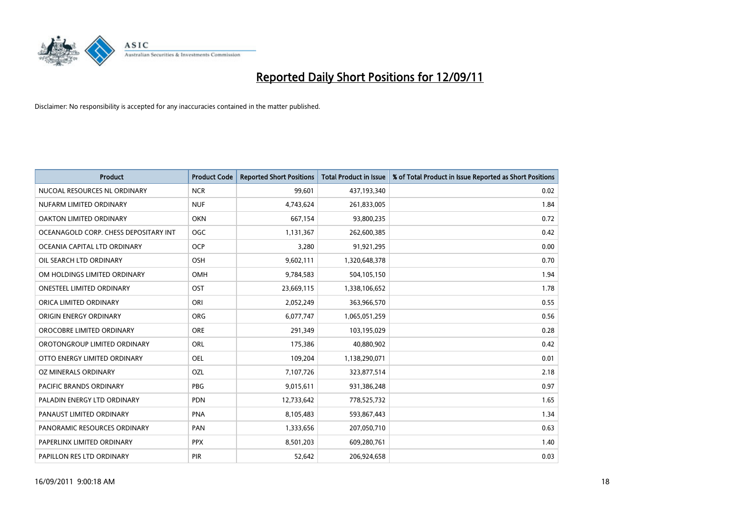

| <b>Product</b>                        | <b>Product Code</b> | <b>Reported Short Positions</b> | <b>Total Product in Issue</b> | % of Total Product in Issue Reported as Short Positions |
|---------------------------------------|---------------------|---------------------------------|-------------------------------|---------------------------------------------------------|
| NUCOAL RESOURCES NL ORDINARY          | <b>NCR</b>          | 99,601                          | 437,193,340                   | 0.02                                                    |
| NUFARM LIMITED ORDINARY               | <b>NUF</b>          | 4,743,624                       | 261,833,005                   | 1.84                                                    |
| OAKTON LIMITED ORDINARY               | <b>OKN</b>          | 667,154                         | 93,800,235                    | 0.72                                                    |
| OCEANAGOLD CORP. CHESS DEPOSITARY INT | <b>OGC</b>          | 1,131,367                       | 262,600,385                   | 0.42                                                    |
| OCEANIA CAPITAL LTD ORDINARY          | <b>OCP</b>          | 3,280                           | 91,921,295                    | 0.00                                                    |
| OIL SEARCH LTD ORDINARY               | <b>OSH</b>          | 9,602,111                       | 1,320,648,378                 | 0.70                                                    |
| OM HOLDINGS LIMITED ORDINARY          | <b>OMH</b>          | 9,784,583                       | 504,105,150                   | 1.94                                                    |
| ONESTEEL LIMITED ORDINARY             | OST                 | 23,669,115                      | 1,338,106,652                 | 1.78                                                    |
| ORICA LIMITED ORDINARY                | ORI                 | 2,052,249                       | 363,966,570                   | 0.55                                                    |
| ORIGIN ENERGY ORDINARY                | <b>ORG</b>          | 6,077,747                       | 1,065,051,259                 | 0.56                                                    |
| OROCOBRE LIMITED ORDINARY             | <b>ORE</b>          | 291,349                         | 103,195,029                   | 0.28                                                    |
| OROTONGROUP LIMITED ORDINARY          | ORL                 | 175,386                         | 40,880,902                    | 0.42                                                    |
| OTTO ENERGY LIMITED ORDINARY          | <b>OEL</b>          | 109,204                         | 1,138,290,071                 | 0.01                                                    |
| OZ MINERALS ORDINARY                  | OZL                 | 7,107,726                       | 323,877,514                   | 2.18                                                    |
| PACIFIC BRANDS ORDINARY               | <b>PBG</b>          | 9,015,611                       | 931,386,248                   | 0.97                                                    |
| PALADIN ENERGY LTD ORDINARY           | <b>PDN</b>          | 12,733,642                      | 778,525,732                   | 1.65                                                    |
| PANAUST LIMITED ORDINARY              | <b>PNA</b>          | 8,105,483                       | 593,867,443                   | 1.34                                                    |
| PANORAMIC RESOURCES ORDINARY          | PAN                 | 1,333,656                       | 207,050,710                   | 0.63                                                    |
| PAPERLINX LIMITED ORDINARY            | <b>PPX</b>          | 8,501,203                       | 609,280,761                   | 1.40                                                    |
| PAPILLON RES LTD ORDINARY             | <b>PIR</b>          | 52,642                          | 206,924,658                   | 0.03                                                    |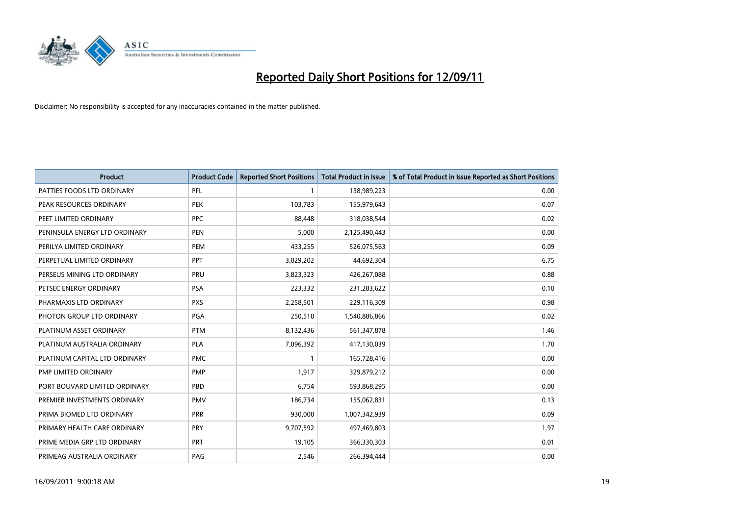

| <b>Product</b>                | <b>Product Code</b> | <b>Reported Short Positions</b> | <b>Total Product in Issue</b> | % of Total Product in Issue Reported as Short Positions |
|-------------------------------|---------------------|---------------------------------|-------------------------------|---------------------------------------------------------|
| PATTIES FOODS LTD ORDINARY    | <b>PFL</b>          |                                 | 138,989,223                   | 0.00                                                    |
| PEAK RESOURCES ORDINARY       | <b>PEK</b>          | 103,783                         | 155,979,643                   | 0.07                                                    |
| PEET LIMITED ORDINARY         | <b>PPC</b>          | 88.448                          | 318,038,544                   | 0.02                                                    |
| PENINSULA ENERGY LTD ORDINARY | <b>PEN</b>          | 5,000                           | 2,125,490,443                 | 0.00                                                    |
| PERILYA LIMITED ORDINARY      | PEM                 | 433,255                         | 526,075,563                   | 0.09                                                    |
| PERPETUAL LIMITED ORDINARY    | PPT                 | 3,029,202                       | 44,692,304                    | 6.75                                                    |
| PERSEUS MINING LTD ORDINARY   | PRU                 | 3,823,323                       | 426,267,088                   | 0.88                                                    |
| PETSEC ENERGY ORDINARY        | <b>PSA</b>          | 223,332                         | 231,283,622                   | 0.10                                                    |
| PHARMAXIS LTD ORDINARY        | <b>PXS</b>          | 2,258,501                       | 229,116,309                   | 0.98                                                    |
| PHOTON GROUP LTD ORDINARY     | <b>PGA</b>          | 250,510                         | 1,540,886,866                 | 0.02                                                    |
| PLATINUM ASSET ORDINARY       | <b>PTM</b>          | 8,132,436                       | 561,347,878                   | 1.46                                                    |
| PLATINUM AUSTRALIA ORDINARY   | <b>PLA</b>          | 7,096,392                       | 417,130,039                   | 1.70                                                    |
| PLATINUM CAPITAL LTD ORDINARY | <b>PMC</b>          |                                 | 165,728,416                   | 0.00                                                    |
| PMP LIMITED ORDINARY          | <b>PMP</b>          | 1,917                           | 329,879,212                   | 0.00                                                    |
| PORT BOUVARD LIMITED ORDINARY | PBD                 | 6.754                           | 593,868,295                   | 0.00                                                    |
| PREMIER INVESTMENTS ORDINARY  | <b>PMV</b>          | 186,734                         | 155,062,831                   | 0.13                                                    |
| PRIMA BIOMED LTD ORDINARY     | PRR                 | 930,000                         | 1,007,342,939                 | 0.09                                                    |
| PRIMARY HEALTH CARE ORDINARY  | <b>PRY</b>          | 9,707,592                       | 497,469,803                   | 1.97                                                    |
| PRIME MEDIA GRP LTD ORDINARY  | <b>PRT</b>          | 19,105                          | 366,330,303                   | 0.01                                                    |
| PRIMEAG AUSTRALIA ORDINARY    | PAG                 | 2,546                           | 266,394,444                   | 0.00                                                    |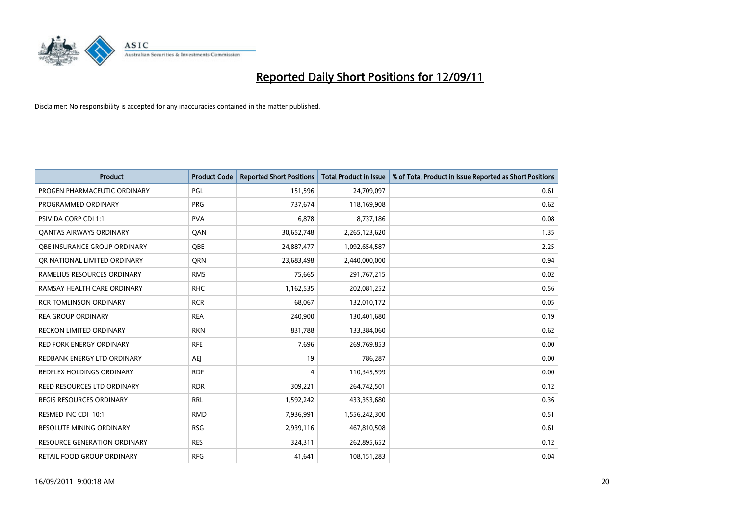

| <b>Product</b>                      | <b>Product Code</b> | <b>Reported Short Positions</b> | <b>Total Product in Issue</b> | % of Total Product in Issue Reported as Short Positions |
|-------------------------------------|---------------------|---------------------------------|-------------------------------|---------------------------------------------------------|
| PROGEN PHARMACEUTIC ORDINARY        | PGL                 | 151,596                         | 24,709,097                    | 0.61                                                    |
| PROGRAMMED ORDINARY                 | <b>PRG</b>          | 737,674                         | 118,169,908                   | 0.62                                                    |
| <b>PSIVIDA CORP CDI 1:1</b>         | <b>PVA</b>          | 6,878                           | 8,737,186                     | 0.08                                                    |
| <b>QANTAS AIRWAYS ORDINARY</b>      | QAN                 | 30,652,748                      | 2,265,123,620                 | 1.35                                                    |
| <b>OBE INSURANCE GROUP ORDINARY</b> | <b>OBE</b>          | 24,887,477                      | 1,092,654,587                 | 2.25                                                    |
| OR NATIONAL LIMITED ORDINARY        | <b>ORN</b>          | 23,683,498                      | 2,440,000,000                 | 0.94                                                    |
| RAMELIUS RESOURCES ORDINARY         | <b>RMS</b>          | 75,665                          | 291,767,215                   | 0.02                                                    |
| RAMSAY HEALTH CARE ORDINARY         | <b>RHC</b>          | 1,162,535                       | 202,081,252                   | 0.56                                                    |
| <b>RCR TOMLINSON ORDINARY</b>       | <b>RCR</b>          | 68,067                          | 132,010,172                   | 0.05                                                    |
| <b>REA GROUP ORDINARY</b>           | <b>REA</b>          | 240,900                         | 130,401,680                   | 0.19                                                    |
| RECKON LIMITED ORDINARY             | <b>RKN</b>          | 831,788                         | 133,384,060                   | 0.62                                                    |
| <b>RED FORK ENERGY ORDINARY</b>     | <b>RFE</b>          | 7,696                           | 269,769,853                   | 0.00                                                    |
| REDBANK ENERGY LTD ORDINARY         | AEI                 | 19                              | 786,287                       | 0.00                                                    |
| REDFLEX HOLDINGS ORDINARY           | <b>RDF</b>          | 4                               | 110,345,599                   | 0.00                                                    |
| REED RESOURCES LTD ORDINARY         | <b>RDR</b>          | 309,221                         | 264,742,501                   | 0.12                                                    |
| REGIS RESOURCES ORDINARY            | <b>RRL</b>          | 1,592,242                       | 433,353,680                   | 0.36                                                    |
| RESMED INC CDI 10:1                 | <b>RMD</b>          | 7,936,991                       | 1,556,242,300                 | 0.51                                                    |
| RESOLUTE MINING ORDINARY            | <b>RSG</b>          | 2,939,116                       | 467,810,508                   | 0.61                                                    |
| <b>RESOURCE GENERATION ORDINARY</b> | <b>RES</b>          | 324,311                         | 262,895,652                   | 0.12                                                    |
| RETAIL FOOD GROUP ORDINARY          | <b>RFG</b>          | 41,641                          | 108,151,283                   | 0.04                                                    |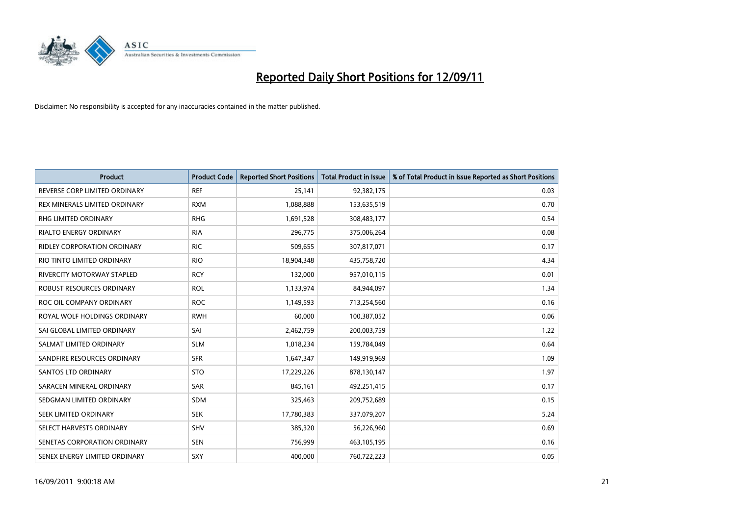

| <b>Product</b>                | <b>Product Code</b> | <b>Reported Short Positions</b> | <b>Total Product in Issue</b> | % of Total Product in Issue Reported as Short Positions |
|-------------------------------|---------------------|---------------------------------|-------------------------------|---------------------------------------------------------|
| REVERSE CORP LIMITED ORDINARY | <b>REF</b>          | 25,141                          | 92,382,175                    | 0.03                                                    |
| REX MINERALS LIMITED ORDINARY | <b>RXM</b>          | 1,088,888                       | 153,635,519                   | 0.70                                                    |
| <b>RHG LIMITED ORDINARY</b>   | <b>RHG</b>          | 1,691,528                       | 308,483,177                   | 0.54                                                    |
| RIALTO ENERGY ORDINARY        | <b>RIA</b>          | 296,775                         | 375,006,264                   | 0.08                                                    |
| RIDLEY CORPORATION ORDINARY   | <b>RIC</b>          | 509,655                         | 307,817,071                   | 0.17                                                    |
| RIO TINTO LIMITED ORDINARY    | <b>RIO</b>          | 18,904,348                      | 435,758,720                   | 4.34                                                    |
| RIVERCITY MOTORWAY STAPLED    | <b>RCY</b>          | 132,000                         | 957,010,115                   | 0.01                                                    |
| ROBUST RESOURCES ORDINARY     | <b>ROL</b>          | 1,133,974                       | 84,944,097                    | 1.34                                                    |
| ROC OIL COMPANY ORDINARY      | <b>ROC</b>          | 1,149,593                       | 713,254,560                   | 0.16                                                    |
| ROYAL WOLF HOLDINGS ORDINARY  | <b>RWH</b>          | 60,000                          | 100,387,052                   | 0.06                                                    |
| SAI GLOBAL LIMITED ORDINARY   | SAI                 | 2,462,759                       | 200,003,759                   | 1.22                                                    |
| SALMAT LIMITED ORDINARY       | <b>SLM</b>          | 1,018,234                       | 159,784,049                   | 0.64                                                    |
| SANDFIRE RESOURCES ORDINARY   | <b>SFR</b>          | 1,647,347                       | 149,919,969                   | 1.09                                                    |
| <b>SANTOS LTD ORDINARY</b>    | <b>STO</b>          | 17,229,226                      | 878,130,147                   | 1.97                                                    |
| SARACEN MINERAL ORDINARY      | SAR                 | 845,161                         | 492,251,415                   | 0.17                                                    |
| SEDGMAN LIMITED ORDINARY      | <b>SDM</b>          | 325,463                         | 209,752,689                   | 0.15                                                    |
| SEEK LIMITED ORDINARY         | <b>SEK</b>          | 17,780,383                      | 337,079,207                   | 5.24                                                    |
| SELECT HARVESTS ORDINARY      | SHV                 | 385,320                         | 56,226,960                    | 0.69                                                    |
| SENETAS CORPORATION ORDINARY  | <b>SEN</b>          | 756,999                         | 463,105,195                   | 0.16                                                    |
| SENEX ENERGY LIMITED ORDINARY | SXY                 | 400,000                         | 760,722,223                   | 0.05                                                    |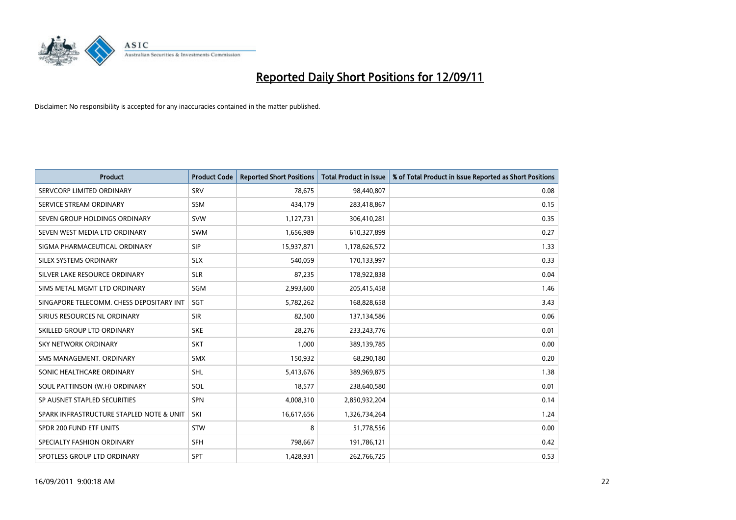

| <b>Product</b>                           | <b>Product Code</b> | <b>Reported Short Positions</b> | <b>Total Product in Issue</b> | % of Total Product in Issue Reported as Short Positions |
|------------------------------------------|---------------------|---------------------------------|-------------------------------|---------------------------------------------------------|
| SERVCORP LIMITED ORDINARY                | SRV                 | 78,675                          | 98,440,807                    | 0.08                                                    |
| SERVICE STREAM ORDINARY                  | <b>SSM</b>          | 434,179                         | 283,418,867                   | 0.15                                                    |
| SEVEN GROUP HOLDINGS ORDINARY            | <b>SVW</b>          | 1,127,731                       | 306,410,281                   | 0.35                                                    |
| SEVEN WEST MEDIA LTD ORDINARY            | <b>SWM</b>          | 1,656,989                       | 610,327,899                   | 0.27                                                    |
| SIGMA PHARMACEUTICAL ORDINARY            | <b>SIP</b>          | 15,937,871                      | 1,178,626,572                 | 1.33                                                    |
| SILEX SYSTEMS ORDINARY                   | <b>SLX</b>          | 540.059                         | 170,133,997                   | 0.33                                                    |
| SILVER LAKE RESOURCE ORDINARY            | <b>SLR</b>          | 87,235                          | 178,922,838                   | 0.04                                                    |
| SIMS METAL MGMT LTD ORDINARY             | SGM                 | 2,993,600                       | 205,415,458                   | 1.46                                                    |
| SINGAPORE TELECOMM. CHESS DEPOSITARY INT | <b>SGT</b>          | 5,782,262                       | 168,828,658                   | 3.43                                                    |
| SIRIUS RESOURCES NL ORDINARY             | <b>SIR</b>          | 82,500                          | 137,134,586                   | 0.06                                                    |
| SKILLED GROUP LTD ORDINARY               | <b>SKE</b>          | 28,276                          | 233, 243, 776                 | 0.01                                                    |
| <b>SKY NETWORK ORDINARY</b>              | <b>SKT</b>          | 1,000                           | 389,139,785                   | 0.00                                                    |
| SMS MANAGEMENT. ORDINARY                 | <b>SMX</b>          | 150,932                         | 68,290,180                    | 0.20                                                    |
| SONIC HEALTHCARE ORDINARY                | <b>SHL</b>          | 5,413,676                       | 389,969,875                   | 1.38                                                    |
| SOUL PATTINSON (W.H) ORDINARY            | SOL                 | 18,577                          | 238,640,580                   | 0.01                                                    |
| SP AUSNET STAPLED SECURITIES             | <b>SPN</b>          | 4,008,310                       | 2,850,932,204                 | 0.14                                                    |
| SPARK INFRASTRUCTURE STAPLED NOTE & UNIT | SKI                 | 16,617,656                      | 1,326,734,264                 | 1.24                                                    |
| SPDR 200 FUND ETF UNITS                  | <b>STW</b>          | 8                               | 51,778,556                    | 0.00                                                    |
| SPECIALTY FASHION ORDINARY               | <b>SFH</b>          | 798,667                         | 191,786,121                   | 0.42                                                    |
| SPOTLESS GROUP LTD ORDINARY              | <b>SPT</b>          | 1,428,931                       | 262,766,725                   | 0.53                                                    |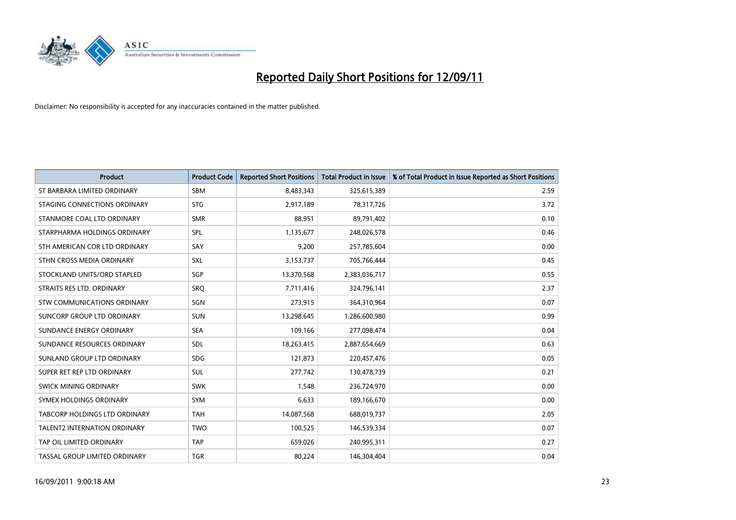

| <b>Product</b>                | <b>Product Code</b> | <b>Reported Short Positions</b> | <b>Total Product in Issue</b> | % of Total Product in Issue Reported as Short Positions |
|-------------------------------|---------------------|---------------------------------|-------------------------------|---------------------------------------------------------|
| ST BARBARA LIMITED ORDINARY   | <b>SBM</b>          | 8,483,343                       | 325,615,389                   | 2.59                                                    |
| STAGING CONNECTIONS ORDINARY  | <b>STG</b>          | 2,917,189                       | 78,317,726                    | 3.72                                                    |
| STANMORE COAL LTD ORDINARY    | <b>SMR</b>          | 88,951                          | 89,791,402                    | 0.10                                                    |
| STARPHARMA HOLDINGS ORDINARY  | SPL                 | 1,135,677                       | 248,026,578                   | 0.46                                                    |
| STH AMERICAN COR LTD ORDINARY | SAY                 | 9,200                           | 257,785,604                   | 0.00                                                    |
| STHN CROSS MEDIA ORDINARY     | <b>SXL</b>          | 3,153,737                       | 705,766,444                   | 0.45                                                    |
| STOCKLAND UNITS/ORD STAPLED   | <b>SGP</b>          | 13,370,568                      | 2,383,036,717                 | 0.55                                                    |
| STRAITS RES LTD. ORDINARY     | SRO                 | 7,711,416                       | 324,796,141                   | 2.37                                                    |
| STW COMMUNICATIONS ORDINARY   | SGN                 | 273,915                         | 364,310,964                   | 0.07                                                    |
| SUNCORP GROUP LTD ORDINARY    | <b>SUN</b>          | 13,298,645                      | 1,286,600,980                 | 0.99                                                    |
| SUNDANCE ENERGY ORDINARY      | <b>SEA</b>          | 109,166                         | 277,098,474                   | 0.04                                                    |
| SUNDANCE RESOURCES ORDINARY   | <b>SDL</b>          | 18,263,415                      | 2,887,654,669                 | 0.63                                                    |
| SUNLAND GROUP LTD ORDINARY    | <b>SDG</b>          | 121,873                         | 220,457,476                   | 0.05                                                    |
| SUPER RET REP LTD ORDINARY    | <b>SUL</b>          | 277,742                         | 130,478,739                   | 0.21                                                    |
| SWICK MINING ORDINARY         | <b>SWK</b>          | 1,548                           | 236,724,970                   | 0.00                                                    |
| SYMEX HOLDINGS ORDINARY       | <b>SYM</b>          | 6,633                           | 189,166,670                   | 0.00                                                    |
| TABCORP HOLDINGS LTD ORDINARY | <b>TAH</b>          | 14,087,568                      | 688,019,737                   | 2.05                                                    |
| TALENT2 INTERNATION ORDINARY  | <b>TWO</b>          | 100,525                         | 146,539,334                   | 0.07                                                    |
| TAP OIL LIMITED ORDINARY      | <b>TAP</b>          | 659,026                         | 240,995,311                   | 0.27                                                    |
| TASSAL GROUP LIMITED ORDINARY | <b>TGR</b>          | 80,224                          | 146,304,404                   | 0.04                                                    |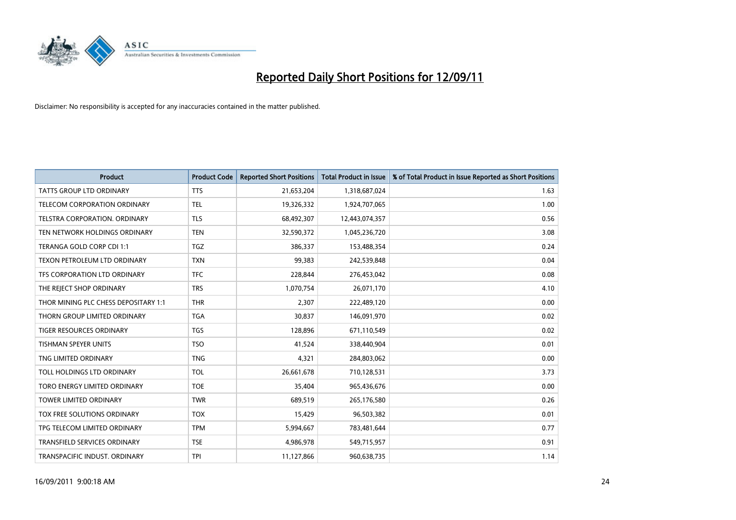

| <b>Product</b>                       | <b>Product Code</b> | <b>Reported Short Positions</b> | <b>Total Product in Issue</b> | % of Total Product in Issue Reported as Short Positions |
|--------------------------------------|---------------------|---------------------------------|-------------------------------|---------------------------------------------------------|
| <b>TATTS GROUP LTD ORDINARY</b>      | <b>TTS</b>          | 21,653,204                      | 1,318,687,024                 | 1.63                                                    |
| TELECOM CORPORATION ORDINARY         | <b>TEL</b>          | 19,326,332                      | 1,924,707,065                 | 1.00                                                    |
| <b>TELSTRA CORPORATION, ORDINARY</b> | <b>TLS</b>          | 68,492,307                      | 12,443,074,357                | 0.56                                                    |
| TEN NETWORK HOLDINGS ORDINARY        | <b>TEN</b>          | 32,590,372                      | 1,045,236,720                 | 3.08                                                    |
| TERANGA GOLD CORP CDI 1:1            | <b>TGZ</b>          | 386,337                         | 153,488,354                   | 0.24                                                    |
| TEXON PETROLEUM LTD ORDINARY         | <b>TXN</b>          | 99,383                          | 242,539,848                   | 0.04                                                    |
| TFS CORPORATION LTD ORDINARY         | <b>TFC</b>          | 228,844                         | 276,453,042                   | 0.08                                                    |
| THE REJECT SHOP ORDINARY             | <b>TRS</b>          | 1,070,754                       | 26,071,170                    | 4.10                                                    |
| THOR MINING PLC CHESS DEPOSITARY 1:1 | <b>THR</b>          | 2,307                           | 222,489,120                   | 0.00                                                    |
| THORN GROUP LIMITED ORDINARY         | <b>TGA</b>          | 30,837                          | 146,091,970                   | 0.02                                                    |
| TIGER RESOURCES ORDINARY             | <b>TGS</b>          | 128,896                         | 671,110,549                   | 0.02                                                    |
| TISHMAN SPEYER UNITS                 | <b>TSO</b>          | 41,524                          | 338,440,904                   | 0.01                                                    |
| TNG LIMITED ORDINARY                 | <b>TNG</b>          | 4,321                           | 284,803,062                   | 0.00                                                    |
| TOLL HOLDINGS LTD ORDINARY           | <b>TOL</b>          | 26,661,678                      | 710,128,531                   | 3.73                                                    |
| TORO ENERGY LIMITED ORDINARY         | <b>TOE</b>          | 35,404                          | 965,436,676                   | 0.00                                                    |
| TOWER LIMITED ORDINARY               | <b>TWR</b>          | 689,519                         | 265,176,580                   | 0.26                                                    |
| TOX FREE SOLUTIONS ORDINARY          | <b>TOX</b>          | 15,429                          | 96,503,382                    | 0.01                                                    |
| TPG TELECOM LIMITED ORDINARY         | <b>TPM</b>          | 5,994,667                       | 783,481,644                   | 0.77                                                    |
| TRANSFIELD SERVICES ORDINARY         | <b>TSE</b>          | 4,986,978                       | 549,715,957                   | 0.91                                                    |
| TRANSPACIFIC INDUST. ORDINARY        | <b>TPI</b>          | 11,127,866                      | 960,638,735                   | 1.14                                                    |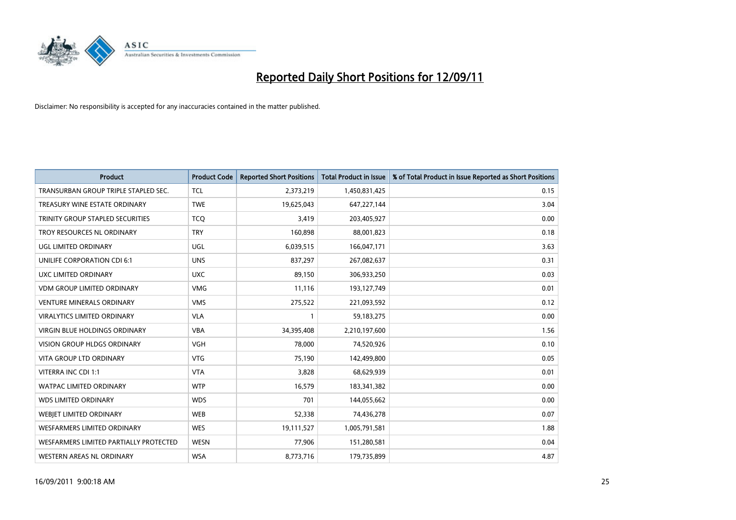

| <b>Product</b>                          | <b>Product Code</b> | <b>Reported Short Positions</b> | <b>Total Product in Issue</b> | % of Total Product in Issue Reported as Short Positions |
|-----------------------------------------|---------------------|---------------------------------|-------------------------------|---------------------------------------------------------|
| TRANSURBAN GROUP TRIPLE STAPLED SEC.    | <b>TCL</b>          | 2,373,219                       | 1,450,831,425                 | 0.15                                                    |
| TREASURY WINE ESTATE ORDINARY           | <b>TWE</b>          | 19,625,043                      | 647,227,144                   | 3.04                                                    |
| <b>TRINITY GROUP STAPLED SECURITIES</b> | <b>TCO</b>          | 3,419                           | 203,405,927                   | 0.00                                                    |
| TROY RESOURCES NL ORDINARY              | <b>TRY</b>          | 160,898                         | 88,001,823                    | 0.18                                                    |
| <b>UGL LIMITED ORDINARY</b>             | UGL                 | 6,039,515                       | 166,047,171                   | 3.63                                                    |
| UNILIFE CORPORATION CDI 6:1             | <b>UNS</b>          | 837,297                         | 267,082,637                   | 0.31                                                    |
| UXC LIMITED ORDINARY                    | <b>UXC</b>          | 89,150                          | 306,933,250                   | 0.03                                                    |
| <b>VDM GROUP LIMITED ORDINARY</b>       | <b>VMG</b>          | 11,116                          | 193,127,749                   | 0.01                                                    |
| <b>VENTURE MINERALS ORDINARY</b>        | <b>VMS</b>          | 275,522                         | 221,093,592                   | 0.12                                                    |
| <b>VIRALYTICS LIMITED ORDINARY</b>      | <b>VLA</b>          | $\mathbf{1}$                    | 59,183,275                    | 0.00                                                    |
| VIRGIN BLUE HOLDINGS ORDINARY           | <b>VBA</b>          | 34,395,408                      | 2,210,197,600                 | 1.56                                                    |
| <b>VISION GROUP HLDGS ORDINARY</b>      | <b>VGH</b>          | 78,000                          | 74,520,926                    | 0.10                                                    |
| <b>VITA GROUP LTD ORDINARY</b>          | <b>VTG</b>          | 75,190                          | 142,499,800                   | 0.05                                                    |
| VITERRA INC CDI 1:1                     | <b>VTA</b>          | 3,828                           | 68,629,939                    | 0.01                                                    |
| <b>WATPAC LIMITED ORDINARY</b>          | <b>WTP</b>          | 16,579                          | 183,341,382                   | 0.00                                                    |
| <b>WDS LIMITED ORDINARY</b>             | <b>WDS</b>          | 701                             | 144,055,662                   | 0.00                                                    |
| WEBIET LIMITED ORDINARY                 | <b>WEB</b>          | 52,338                          | 74,436,278                    | 0.07                                                    |
| <b>WESFARMERS LIMITED ORDINARY</b>      | <b>WES</b>          | 19,111,527                      | 1,005,791,581                 | 1.88                                                    |
| WESFARMERS LIMITED PARTIALLY PROTECTED  | <b>WESN</b>         | 77,906                          | 151,280,581                   | 0.04                                                    |
| WESTERN AREAS NL ORDINARY               | <b>WSA</b>          | 8,773,716                       | 179,735,899                   | 4.87                                                    |